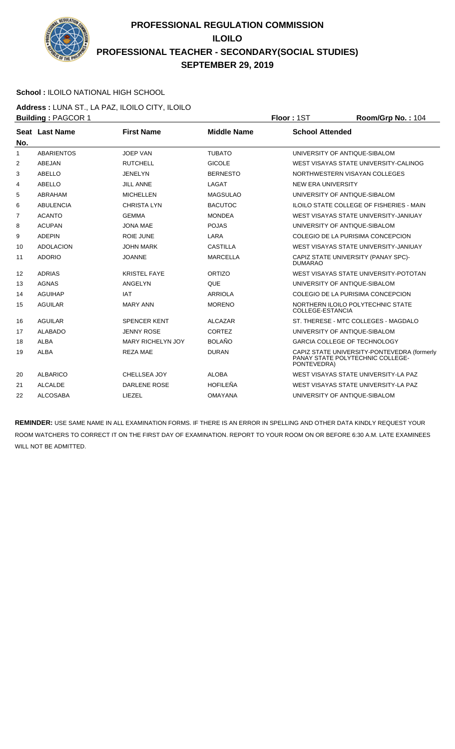

### **School :** ILOILO NATIONAL HIGH SCHOOL

**Address :** LUNA ST., LA PAZ, ILOILO CITY, ILOILO **Building : PAGCOR 1 Floor : 1ST Room/Grp No. : 104** 

|                |                       |                          |                    | .                                                                                              |
|----------------|-----------------------|--------------------------|--------------------|------------------------------------------------------------------------------------------------|
| No.            | <b>Seat Last Name</b> | <b>First Name</b>        | <b>Middle Name</b> | <b>School Attended</b>                                                                         |
| $\mathbf{1}$   | <b>ABARIENTOS</b>     | <b>JOEP VAN</b>          | <b>TUBATO</b>      | UNIVERSITY OF ANTIQUE-SIBALOM                                                                  |
| 2              | ABEJAN                | <b>RUTCHELL</b>          | <b>GICOLE</b>      | WEST VISAYAS STATE UNIVERSITY-CALINOG                                                          |
| 3              | ABELLO                | <b>JENELYN</b>           | <b>BERNESTO</b>    | NORTHWESTERN VISAYAN COLLEGES                                                                  |
| 4              | ABELLO                | <b>JILL ANNE</b>         | LAGAT              | NEW ERA UNIVERSITY                                                                             |
| 5              | ABRAHAM               | <b>MICHELLEN</b>         | <b>MAGSULAO</b>    | UNIVERSITY OF ANTIQUE-SIBALOM                                                                  |
| 6              | <b>ABULENCIA</b>      | <b>CHRISTALYN</b>        | <b>BACUTOC</b>     | ILOILO STATE COLLEGE OF FISHERIES - MAIN                                                       |
| $\overline{7}$ | <b>ACANTO</b>         | <b>GEMMA</b>             | <b>MONDEA</b>      | WEST VISAYAS STATE UNIVERSITY-JANIUAY                                                          |
| 8              | <b>ACUPAN</b>         | <b>JONA MAE</b>          | <b>POJAS</b>       | UNIVERSITY OF ANTIQUE-SIBALOM                                                                  |
| 9              | <b>ADEPIN</b>         | <b>ROIE JUNE</b>         | LARA               | COLEGIO DE LA PURISIMA CONCEPCION                                                              |
| 10             | <b>ADOLACION</b>      | <b>JOHN MARK</b>         | <b>CASTILLA</b>    | WEST VISAYAS STATE UNIVERSITY-JANIUAY                                                          |
| 11             | <b>ADORIO</b>         | <b>JOANNE</b>            | <b>MARCELLA</b>    | CAPIZ STATE UNIVERSITY (PANAY SPC)-<br><b>DUMARAO</b>                                          |
| 12             | <b>ADRIAS</b>         | <b>KRISTEL FAYE</b>      | <b>ORTIZO</b>      | WEST VISAYAS STATE UNIVERSITY-POTOTAN                                                          |
| 13             | <b>AGNAS</b>          | ANGELYN                  | <b>QUE</b>         | UNIVERSITY OF ANTIQUE-SIBALOM                                                                  |
| 14             | <b>AGUIHAP</b>        | <b>IAT</b>               | <b>ARRIOLA</b>     | COLEGIO DE LA PURISIMA CONCEPCION                                                              |
| 15             | <b>AGUILAR</b>        | <b>MARY ANN</b>          | <b>MORENO</b>      | NORTHERN ILOILO POLYTECHNIC STATE<br>COLLEGE-ESTANCIA                                          |
| 16             | <b>AGUILAR</b>        | <b>SPENCER KENT</b>      | <b>ALCAZAR</b>     | ST. THERESE - MTC COLLEGES - MAGDALO                                                           |
| 17             | <b>ALABADO</b>        | <b>JENNY ROSE</b>        | <b>CORTEZ</b>      | UNIVERSITY OF ANTIQUE-SIBALOM                                                                  |
| 18             | <b>ALBA</b>           | <b>MARY RICHELYN JOY</b> | <b>BOLAÑO</b>      | <b>GARCIA COLLEGE OF TECHNOLOGY</b>                                                            |
| 19             | <b>ALBA</b>           | <b>REZA MAE</b>          | <b>DURAN</b>       | CAPIZ STATE UNIVERSITY-PONTEVEDRA (formerly<br>PANAY STATE POLYTECHNIC COLLEGE-<br>PONTEVEDRA) |
| 20             | <b>ALBARICO</b>       | CHELLSEA JOY             | <b>ALOBA</b>       | WEST VISAYAS STATE UNIVERSITY-LA PAZ                                                           |
| 21             | <b>ALCALDE</b>        | DARLENE ROSE             | <b>HOFILEÑA</b>    | WEST VISAYAS STATE UNIVERSITY-LA PAZ                                                           |
| 22             | <b>ALCOSABA</b>       | LIEZEL                   | <b>OMAYANA</b>     | UNIVERSITY OF ANTIQUE-SIBALOM                                                                  |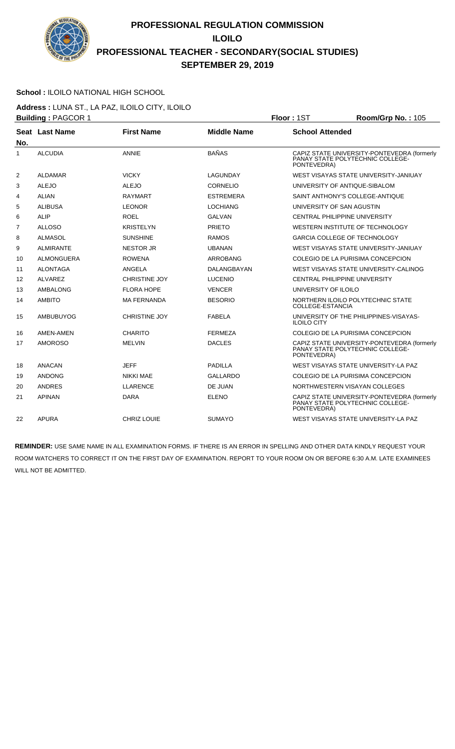

### **School :** ILOILO NATIONAL HIGH SCHOOL

**Address :** LUNA ST., LA PAZ, ILOILO CITY, ILOILO **Building : PAGCOR 1 Floor : 1ST Room/Grp No. : 105** 

|                | Seat Last Name    | <b>First Name</b>    | <b>Middle Name</b> | <b>School Attended</b>                                                                         |
|----------------|-------------------|----------------------|--------------------|------------------------------------------------------------------------------------------------|
| No.<br>1       | <b>ALCUDIA</b>    | <b>ANNIE</b>         | <b>BAÑAS</b>       | CAPIZ STATE UNIVERSITY-PONTEVEDRA (formerly<br>PANAY STATE POLYTECHNIC COLLEGE-<br>PONTEVEDRA) |
| 2              | <b>ALDAMAR</b>    | <b>VICKY</b>         | LAGUNDAY           | WEST VISAYAS STATE UNIVERSITY-JANIUAY                                                          |
| 3              | <b>ALEJO</b>      | <b>ALEJO</b>         | <b>CORNELIO</b>    | UNIVERSITY OF ANTIQUE-SIBALOM                                                                  |
| 4              | <b>ALIAN</b>      | <b>RAYMART</b>       | <b>ESTREMERA</b>   | SAINT ANTHONY'S COLLEGE-ANTIQUE                                                                |
| 5              | <b>ALIBUSA</b>    | <b>LEONOR</b>        | <b>LOCHIANG</b>    | UNIVERSITY OF SAN AGUSTIN                                                                      |
| 6              | <b>ALIP</b>       | <b>ROEL</b>          | <b>GALVAN</b>      | CENTRAL PHILIPPINE UNIVERSITY                                                                  |
| $\overline{7}$ | <b>ALLOSO</b>     | <b>KRISTELYN</b>     | <b>PRIETO</b>      | WESTERN INSTITUTE OF TECHNOLOGY                                                                |
| 8              | <b>ALMASOL</b>    | <b>SUNSHINE</b>      | RAMOS              | <b>GARCIA COLLEGE OF TECHNOLOGY</b>                                                            |
| 9              | <b>ALMIRANTE</b>  | <b>NESTOR JR</b>     | <b>UBANAN</b>      | WEST VISAYAS STATE UNIVERSITY-JANIUAY                                                          |
| 10             | <b>ALMONGUERA</b> | <b>ROWENA</b>        | <b>ARROBANG</b>    | COLEGIO DE LA PURISIMA CONCEPCION                                                              |
| 11             | <b>ALONTAGA</b>   | ANGELA               | DALANGBAYAN        | WEST VISAYAS STATE UNIVERSITY-CALINOG                                                          |
| 12             | <b>ALVAREZ</b>    | <b>CHRISTINE JOY</b> | <b>LUCENIO</b>     | <b>CENTRAL PHILIPPINE UNIVERSITY</b>                                                           |
| 13             | AMBALONG          | <b>FLORA HOPE</b>    | <b>VENCER</b>      | UNIVERSITY OF ILOILO                                                                           |
| 14             | <b>AMBITO</b>     | <b>MA FERNANDA</b>   | <b>BESORIO</b>     | NORTHERN ILOILO POLYTECHNIC STATE<br><b>COLLEGE-ESTANCIA</b>                                   |
| 15             | AMBUBUYOG         | <b>CHRISTINE JOY</b> | <b>FABELA</b>      | UNIVERSITY OF THE PHILIPPINES-VISAYAS-<br><b>ILOILO CITY</b>                                   |
| 16             | AMEN-AMEN         | <b>CHARITO</b>       | <b>FERMEZA</b>     | COLEGIO DE LA PURISIMA CONCEPCION                                                              |
| 17             | <b>AMOROSO</b>    | <b>MELVIN</b>        | <b>DACLES</b>      | CAPIZ STATE UNIVERSITY-PONTEVEDRA (formerly<br>PANAY STATE POLYTECHNIC COLLEGE-<br>PONTEVEDRA) |
| 18             | <b>ANACAN</b>     | <b>JEFF</b>          | <b>PADILLA</b>     | WEST VISAYAS STATE UNIVERSITY-LA PAZ                                                           |
| 19             | <b>ANDONG</b>     | NIKKI MAE            | <b>GALLARDO</b>    | COLEGIO DE LA PURISIMA CONCEPCION                                                              |
| 20             | <b>ANDRES</b>     | <b>LLARENCE</b>      | DE JUAN            | NORTHWESTERN VISAYAN COLLEGES                                                                  |
| 21             | <b>APINAN</b>     | <b>DARA</b>          | <b>ELENO</b>       | CAPIZ STATE UNIVERSITY-PONTEVEDRA (formerly<br>PANAY STATE POLYTECHNIC COLLEGE-<br>PONTEVEDRA) |
| 22             | <b>APURA</b>      | <b>CHRIZ LOUIE</b>   | <b>SUMAYO</b>      | WEST VISAYAS STATE UNIVERSITY-LA PAZ                                                           |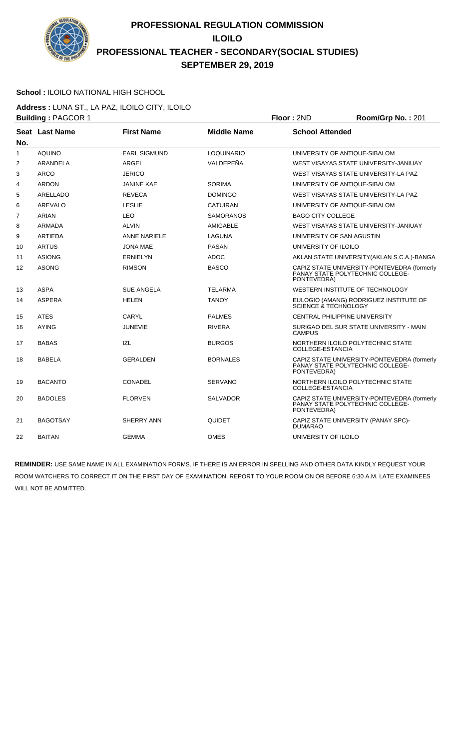

### **School :** ILOILO NATIONAL HIGH SCHOOL

**Address :** LUNA ST., LA PAZ, ILOILO CITY, ILOILO **Building :** PAGCOR 1 **Floor :** 2ND **Room/Grp No. :** 201

| No. | Seat Last Name  | <b>First Name</b>   | <b>Middle Name</b> | <b>School Attended</b>                                                                         |
|-----|-----------------|---------------------|--------------------|------------------------------------------------------------------------------------------------|
| 1   | <b>AQUINO</b>   | <b>EARL SIGMUND</b> | <b>LOQUINARIO</b>  | UNIVERSITY OF ANTIQUE-SIBALOM                                                                  |
| 2   | <b>ARANDELA</b> | <b>ARGEL</b>        | VALDEPEÑA          | WEST VISAYAS STATE UNIVERSITY-JANIUAY                                                          |
| 3   | <b>ARCO</b>     | <b>JERICO</b>       |                    | WEST VISAYAS STATE UNIVERSITY-LA PAZ                                                           |
| 4   | <b>ARDON</b>    | <b>JANINE KAE</b>   | <b>SORIMA</b>      | UNIVERSITY OF ANTIQUE-SIBALOM                                                                  |
| 5   | ARELLADO        | <b>REVECA</b>       | <b>DOMINGO</b>     | WEST VISAYAS STATE UNIVERSITY-LA PAZ                                                           |
| 6   | AREVALO         | <b>LESLIE</b>       | <b>CATUIRAN</b>    | UNIVERSITY OF ANTIQUE-SIBALOM                                                                  |
| 7   | <b>ARIAN</b>    | <b>LEO</b>          | <b>SAMORANOS</b>   | <b>BAGO CITY COLLEGE</b>                                                                       |
| 8   | ARMADA          | <b>ALVIN</b>        | AMIGABLE           | WEST VISAYAS STATE UNIVERSITY-JANIUAY                                                          |
| 9   | <b>ARTIEDA</b>  | <b>ANNE NARIELE</b> | LAGUNA             | UNIVERSITY OF SAN AGUSTIN                                                                      |
| 10  | <b>ARTUS</b>    | <b>JONA MAE</b>     | <b>PASAN</b>       | UNIVERSITY OF ILOILO                                                                           |
| 11  | <b>ASIONG</b>   | <b>ERNIELYN</b>     | <b>ADOC</b>        | AKLAN STATE UNIVERSITY (AKLAN S.C.A.)-BANGA                                                    |
| 12  | <b>ASONG</b>    | <b>RIMSON</b>       | <b>BASCO</b>       | CAPIZ STATE UNIVERSITY-PONTEVEDRA (formerly<br>PANAY STATE POLYTECHNIC COLLEGE-<br>PONTEVEDRA) |
| 13  | <b>ASPA</b>     | <b>SUE ANGELA</b>   | <b>TELARMA</b>     | WESTERN INSTITUTE OF TECHNOLOGY                                                                |
| 14  | <b>ASPERA</b>   | <b>HELEN</b>        | <b>TANOY</b>       | EULOGIO (AMANG) RODRIGUEZ INSTITUTE OF<br>SCIENCE & TECHNOLOGY                                 |
| 15  | <b>ATES</b>     | <b>CARYL</b>        | <b>PALMES</b>      | <b>CENTRAL PHILIPPINE UNIVERSITY</b>                                                           |
| 16  | <b>AYING</b>    | <b>JUNEVIE</b>      | <b>RIVERA</b>      | SURIGAO DEL SUR STATE UNIVERSITY - MAIN<br><b>CAMPUS</b>                                       |
| 17  | <b>BABAS</b>    | <b>IZL</b>          | <b>BURGOS</b>      | NORTHERN ILOILO POLYTECHNIC STATE<br>COLLEGE-ESTANCIA                                          |
| 18  | <b>BABELA</b>   | <b>GERALDEN</b>     | <b>BORNALES</b>    | CAPIZ STATE UNIVERSITY-PONTEVEDRA (formerly<br>PANAY STATE POLYTECHNIC COLLEGE-<br>PONTEVEDRA) |
| 19  | <b>BACANTO</b>  | <b>CONADEL</b>      | <b>SERVANO</b>     | NORTHERN ILOILO POLYTECHNIC STATE<br>COLLEGE-ESTANCIA                                          |
| 20  | <b>BADOLES</b>  | <b>FLORVEN</b>      | <b>SALVADOR</b>    | CAPIZ STATE UNIVERSITY-PONTEVEDRA (formerly<br>PANAY STATE POLYTECHNIC COLLEGE-<br>PONTEVEDRA) |
| 21  | <b>BAGOTSAY</b> | SHERRY ANN          | <b>QUIDET</b>      | CAPIZ STATE UNIVERSITY (PANAY SPC)-<br><b>DUMARAO</b>                                          |
| 22  | <b>BAITAN</b>   | <b>GEMMA</b>        | <b>OMES</b>        | UNIVERSITY OF ILOILO                                                                           |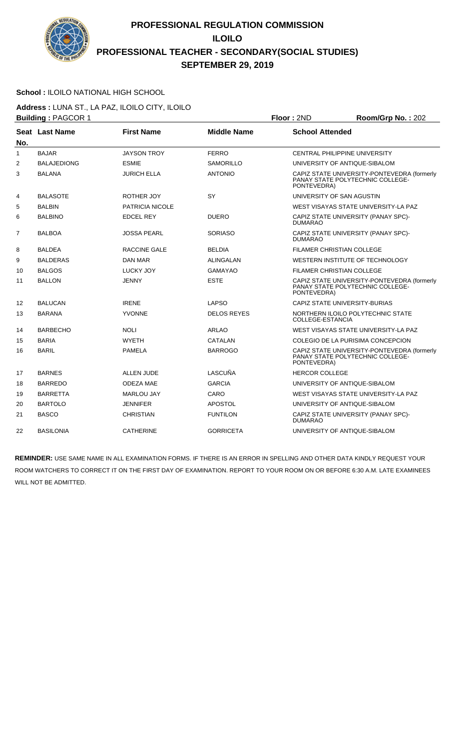

#### **School :** ILOILO NATIONAL HIGH SCHOOL

**Address :** LUNA ST., LA PAZ, ILOILO CITY, ILOILO **Building :** PAGCOR 1 **Floor :** 2ND **Room/Grp No. :** 202

|                |                    |                        |                    | .                                                                                              |
|----------------|--------------------|------------------------|--------------------|------------------------------------------------------------------------------------------------|
| No.            | Seat Last Name     | <b>First Name</b>      | <b>Middle Name</b> | <b>School Attended</b>                                                                         |
| 1              | <b>BAJAR</b>       | <b>JAYSON TROY</b>     | <b>FERRO</b>       | CENTRAL PHILIPPINE UNIVERSITY                                                                  |
| 2              | <b>BALAJEDIONG</b> | <b>ESMIE</b>           | <b>SAMORILLO</b>   | UNIVERSITY OF ANTIQUE-SIBALOM                                                                  |
| 3              | <b>BALANA</b>      | JURICH ELLA            | <b>ANTONIO</b>     | CAPIZ STATE UNIVERSITY-PONTEVEDRA (formerly<br>PANAY STATE POLYTECHNIC COLLEGE-<br>PONTEVEDRA) |
| 4              | <b>BALASOTE</b>    | ROTHER JOY             | SY                 | UNIVERSITY OF SAN AGUSTIN                                                                      |
| 5              | <b>BALBIN</b>      | <b>PATRICIA NICOLE</b> |                    | WEST VISAYAS STATE UNIVERSITY-LA PAZ                                                           |
| 6              | <b>BALBINO</b>     | <b>EDCEL REY</b>       | <b>DUERO</b>       | CAPIZ STATE UNIVERSITY (PANAY SPC)-<br><b>DUMARAO</b>                                          |
| $\overline{7}$ | <b>BALBOA</b>      | <b>JOSSA PEARL</b>     | <b>SORIASO</b>     | CAPIZ STATE UNIVERSITY (PANAY SPC)-<br><b>DUMARAO</b>                                          |
| 8              | <b>BALDEA</b>      | RACCINE GALE           | <b>BELDIA</b>      | <b>FILAMER CHRISTIAN COLLEGE</b>                                                               |
| 9              | <b>BALDERAS</b>    | DAN MAR                | ALINGALAN          | WESTERN INSTITUTE OF TECHNOLOGY                                                                |
| 10             | <b>BALGOS</b>      | LUCKY JOY              | <b>GAMAYAO</b>     | FILAMER CHRISTIAN COLLEGE                                                                      |
| 11             | <b>BALLON</b>      | JENNY                  | <b>ESTE</b>        | CAPIZ STATE UNIVERSITY-PONTEVEDRA (formerly<br>PANAY STATE POLYTECHNIC COLLEGE-<br>PONTEVEDRA) |
| 12             | <b>BALUCAN</b>     | <b>IRENE</b>           | LAPSO              | CAPIZ STATE UNIVERSITY-BURIAS                                                                  |
| 13             | <b>BARANA</b>      | <b>YVONNE</b>          | <b>DELOS REYES</b> | NORTHERN ILOILO POLYTECHNIC STATE<br>COLLEGE-ESTANCIA                                          |
| 14             | <b>BARBECHO</b>    | <b>NOLI</b>            | <b>ARLAO</b>       | WEST VISAYAS STATE UNIVERSITY-LA PAZ                                                           |
| 15             | <b>BARIA</b>       | <b>WYETH</b>           | CATALAN            | COLEGIO DE LA PURISIMA CONCEPCION                                                              |
| 16             | <b>BARIL</b>       | <b>PAMELA</b>          | <b>BARROGO</b>     | CAPIZ STATE UNIVERSITY-PONTEVEDRA (formerly<br>PANAY STATE POLYTECHNIC COLLEGE-<br>PONTEVEDRA) |
| 17             | <b>BARNES</b>      | <b>ALLEN JUDE</b>      | LASCUÑA            | <b>HERCOR COLLEGE</b>                                                                          |
| 18             | <b>BARREDO</b>     | <b>ODEZA MAE</b>       | <b>GARCIA</b>      | UNIVERSITY OF ANTIQUE-SIBALOM                                                                  |
| 19             | <b>BARRETTA</b>    | <b>MARLOU JAY</b>      | CARO               | WEST VISAYAS STATE UNIVERSITY-LA PAZ                                                           |
| 20             | <b>BARTOLO</b>     | <b>JENNIFER</b>        | <b>APOSTOL</b>     | UNIVERSITY OF ANTIQUE-SIBALOM                                                                  |
| 21             | <b>BASCO</b>       | <b>CHRISTIAN</b>       | <b>FUNTILON</b>    | CAPIZ STATE UNIVERSITY (PANAY SPC)-<br><b>DUMARAO</b>                                          |
| 22             | <b>BASILONIA</b>   | <b>CATHERINE</b>       | <b>GORRICETA</b>   | UNIVERSITY OF ANTIQUE-SIBALOM                                                                  |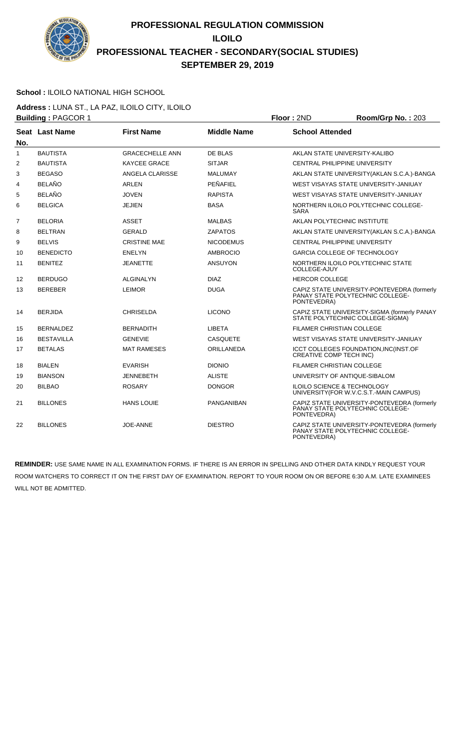

### **School :** ILOILO NATIONAL HIGH SCHOOL

**Address :** LUNA ST., LA PAZ, ILOILO CITY, ILOILO **Building :** PAGCOR 1 **Floor :** 2ND **Room/Grp No. :** 203

| No.            | Seat Last Name    | <b>First Name</b>      | <b>Middle Name</b> | <b>School Attended</b>                                                                         |
|----------------|-------------------|------------------------|--------------------|------------------------------------------------------------------------------------------------|
| 1              | <b>BAUTISTA</b>   | <b>GRACECHELLE ANN</b> | <b>DE BLAS</b>     | AKLAN STATE UNIVERSITY-KALIBO                                                                  |
| $\overline{2}$ | <b>BAUTISTA</b>   | <b>KAYCEE GRACE</b>    | <b>SITJAR</b>      | CENTRAL PHILIPPINE UNIVERSITY                                                                  |
| 3              | <b>BEGASO</b>     | ANGELA CLARISSE        | <b>MALUMAY</b>     | AKLAN STATE UNIVERSITY (AKLAN S.C.A.)-BANGA                                                    |
| 4              | <b>BELAÑO</b>     | ARLEN                  | PEÑAFIEL           | WEST VISAYAS STATE UNIVERSITY-JANIUAY                                                          |
| 5              | <b>BELAÑO</b>     | <b>JOVEN</b>           | <b>RAPISTA</b>     | WEST VISAYAS STATE UNIVERSITY-JANIUAY                                                          |
| 6              | <b>BELGICA</b>    | <b>JEJIEN</b>          | <b>BASA</b>        | NORTHERN ILOILO POLYTECHNIC COLLEGE-<br><b>SARA</b>                                            |
| $\overline{7}$ | <b>BELORIA</b>    | <b>ASSET</b>           | <b>MALBAS</b>      | AKLAN POLYTECHNIC INSTITUTE                                                                    |
| 8              | <b>BELTRAN</b>    | <b>GERALD</b>          | <b>ZAPATOS</b>     | AKLAN STATE UNIVERSITY (AKLAN S.C.A.)-BANGA                                                    |
| 9              | <b>BELVIS</b>     | <b>CRISTINE MAE</b>    | <b>NICODEMUS</b>   | <b>CENTRAL PHILIPPINE UNIVERSITY</b>                                                           |
| 10             | <b>BENEDICTO</b>  | <b>ENELYN</b>          | <b>AMBROCIO</b>    | <b>GARCIA COLLEGE OF TECHNOLOGY</b>                                                            |
| 11             | <b>BENITEZ</b>    | <b>JEANETTE</b>        | <b>ANSUYON</b>     | NORTHERN ILOILO POLYTECHNIC STATE<br>COLLEGE-AJUY                                              |
| 12             | <b>BERDUGO</b>    | ALGINALYN              | <b>DIAZ</b>        | <b>HERCOR COLLEGE</b>                                                                          |
| 13             | <b>BEREBER</b>    | <b>LEIMOR</b>          | <b>DUGA</b>        | CAPIZ STATE UNIVERSITY-PONTEVEDRA (formerly<br>PANAY STATE POLYTECHNIC COLLEGE-<br>PONTEVEDRA) |
| 14             | <b>BERJIDA</b>    | <b>CHRISELDA</b>       | <b>LICONO</b>      | CAPIZ STATE UNIVERSITY-SIGMA (formerly PANAY<br>STATE POLYTECHNIC COLLEGE-SIGMA)               |
| 15             | <b>BERNALDEZ</b>  | <b>BERNADITH</b>       | <b>LIBETA</b>      | <b>FILAMER CHRISTIAN COLLEGE</b>                                                               |
| 16             | <b>BESTAVILLA</b> | <b>GENEVIE</b>         | <b>CASQUETE</b>    | WEST VISAYAS STATE UNIVERSITY-JANIUAY                                                          |
| 17             | <b>BETALAS</b>    | <b>MAT RAMESES</b>     | <b>ORILLANEDA</b>  | ICCT COLLEGES FOUNDATION, INC(INST.OF<br><b>CREATIVE COMP TECH INC)</b>                        |
| 18             | <b>BIALEN</b>     | <b>EVARISH</b>         | <b>DIONIO</b>      | <b>FILAMER CHRISTIAN COLLEGE</b>                                                               |
| 19             | <b>BIANSON</b>    | <b>JENNEBETH</b>       | <b>ALISTE</b>      | UNIVERSITY OF ANTIQUE-SIBALOM                                                                  |
| 20             | <b>BILBAO</b>     | <b>ROSARY</b>          | <b>DONGOR</b>      | ILOILO SCIENCE & TECHNOLOGY<br>UNIVERSITY(FOR W.V.C.S.T.-MAIN CAMPUS)                          |
| 21             | <b>BILLONES</b>   | <b>HANS LOUIE</b>      | <b>PANGANIBAN</b>  | CAPIZ STATE UNIVERSITY-PONTEVEDRA (formerly<br>PANAY STATE POLYTECHNIC COLLEGE-<br>PONTEVEDRA) |
| 22             | <b>BILLONES</b>   | JOE-ANNE               | <b>DIESTRO</b>     | CAPIZ STATE UNIVERSITY-PONTEVEDRA (formerly<br>PANAY STATE POLYTECHNIC COLLEGE-<br>PONTEVEDRA) |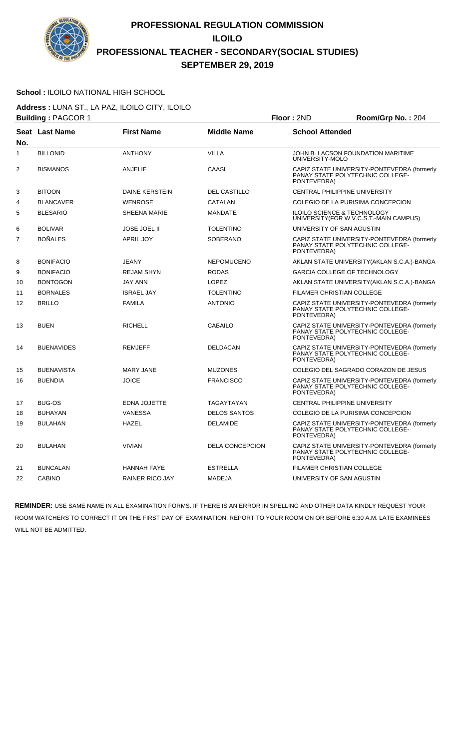

### **School :** ILOILO NATIONAL HIGH SCHOOL

**Address :** LUNA ST., LA PAZ, ILOILO CITY, ILOILO **Building : PAGCOR 1 Floor : 2ND Room/Grp No. : 204** 

|                |                   |                        |                        | . <i>.</i>                                                                                     |
|----------------|-------------------|------------------------|------------------------|------------------------------------------------------------------------------------------------|
|                | Seat Last Name    | <b>First Name</b>      | <b>Middle Name</b>     | <b>School Attended</b>                                                                         |
| No.            |                   |                        |                        |                                                                                                |
| 1              | <b>BILLONID</b>   | <b>ANTHONY</b>         | <b>VILLA</b>           | JOHN B. LACSON FOUNDATION MARITIME<br>UNIVERSITY-MOLO                                          |
| 2              | <b>BISMANOS</b>   | ANJELIE                | CAASI                  | CAPIZ STATE UNIVERSITY-PONTEVEDRA (formerly<br>PANAY STATE POLYTECHNIC COLLEGE-<br>PONTEVEDRA) |
| 3              | <b>BITOON</b>     | <b>DAINE KERSTEIN</b>  | <b>DEL CASTILLO</b>    | CENTRAL PHILIPPINE UNIVERSITY                                                                  |
| 4              | <b>BLANCAVER</b>  | <b>WENROSE</b>         | CATALAN                | COLEGIO DE LA PURISIMA CONCEPCION                                                              |
| 5              | <b>BLESARIO</b>   | <b>SHEENA MARIE</b>    | <b>MANDATE</b>         | ILOILO SCIENCE & TECHNOLOGY<br>UNIVERSITY (FOR W.V.C.S.T.-MAIN CAMPUS)                         |
| 6              | <b>BOLIVAR</b>    | <b>JOSE JOEL II</b>    | <b>TOLENTINO</b>       | UNIVERSITY OF SAN AGUSTIN                                                                      |
| $\overline{7}$ | <b>BOÑALES</b>    | <b>APRIL JOY</b>       | <b>SOBERANO</b>        | CAPIZ STATE UNIVERSITY-PONTEVEDRA (formerly<br>PANAY STATE POLYTECHNIC COLLEGE-<br>PONTEVEDRA) |
| 8              | <b>BONIFACIO</b>  | <b>JEANY</b>           | <b>NEPOMUCENO</b>      | AKLAN STATE UNIVERSITY (AKLAN S.C.A.)-BANGA                                                    |
| 9              | <b>BONIFACIO</b>  | <b>REJAM SHYN</b>      | <b>RODAS</b>           | GARCIA COLLEGE OF TECHNOLOGY                                                                   |
| 10             | <b>BONTOGON</b>   | JAY ANN                | <b>LOPEZ</b>           | AKLAN STATE UNIVERSITY (AKLAN S.C.A.)-BANGA                                                    |
| 11             | <b>BORNALES</b>   | <b>ISRAEL JAY</b>      | <b>TOLENTINO</b>       | <b>FILAMER CHRISTIAN COLLEGE</b>                                                               |
| 12             | <b>BRILLO</b>     | <b>FAMILA</b>          | <b>ANTONIO</b>         | CAPIZ STATE UNIVERSITY-PONTEVEDRA (formerly<br>PANAY STATE POLYTECHNIC COLLEGE-<br>PONTEVEDRA) |
| 13             | <b>BUEN</b>       | <b>RICHELL</b>         | <b>CABAILO</b>         | CAPIZ STATE UNIVERSITY-PONTEVEDRA (formerly<br>PANAY STATE POLYTECHNIC COLLEGE-<br>PONTEVEDRA) |
| 14             | <b>BUENAVIDES</b> | <b>REMJEFF</b>         | <b>DELDACAN</b>        | CAPIZ STATE UNIVERSITY-PONTEVEDRA (formerly<br>PANAY STATE POLYTECHNIC COLLEGE-<br>PONTEVEDRA) |
| 15             | <b>BUENAVISTA</b> | <b>MARY JANE</b>       | <b>MUZONES</b>         | COLEGIO DEL SAGRADO CORAZON DE JESUS                                                           |
| 16             | <b>BUENDIA</b>    | <b>JOICE</b>           | <b>FRANCISCO</b>       | CAPIZ STATE UNIVERSITY-PONTEVEDRA (formerly<br>PANAY STATE POLYTECHNIC COLLEGE-<br>PONTEVEDRA) |
| 17             | <b>BUG-OS</b>     | <b>EDNA JOJETTE</b>    | TAGAYTAYAN             | CENTRAL PHILIPPINE UNIVERSITY                                                                  |
| 18             | <b>BUHAYAN</b>    | <b>VANESSA</b>         | <b>DELOS SANTOS</b>    | COLEGIO DE LA PURISIMA CONCEPCION                                                              |
| 19             | <b>BULAHAN</b>    | <b>HAZEL</b>           | <b>DELAMIDE</b>        | CAPIZ STATE UNIVERSITY-PONTEVEDRA (formerly<br>PANAY STATE POLYTECHNIC COLLEGE-<br>PONTEVEDRA) |
| 20             | <b>BULAHAN</b>    | <b>VIVIAN</b>          | <b>DELA CONCEPCION</b> | CAPIZ STATE UNIVERSITY-PONTEVEDRA (formerly<br>PANAY STATE POLYTECHNIC COLLEGE-<br>PONTEVEDRA) |
| 21             | <b>BUNCALAN</b>   | <b>HANNAH FAYE</b>     | <b>ESTRELLA</b>        | <b>FILAMER CHRISTIAN COLLEGE</b>                                                               |
| 22             | <b>CABINO</b>     | <b>RAINER RICO JAY</b> | <b>MADEJA</b>          | UNIVERSITY OF SAN AGUSTIN                                                                      |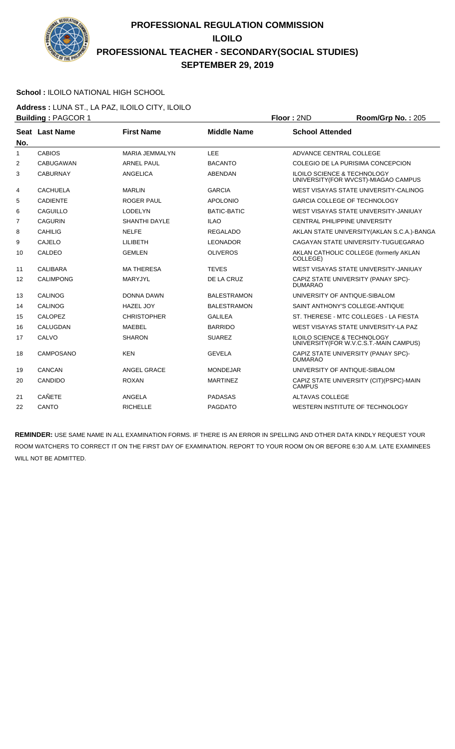

### **School :** ILOILO NATIONAL HIGH SCHOOL

**Address :** LUNA ST., LA PAZ, ILOILO CITY, ILOILO **Building :** PAGCOR 1 **Floor :** 2ND **Room/Grp No. :** 205

| No.            | Seat Last Name   | <b>First Name</b>    | <b>Middle Name</b> | <b>School Attended</b>                                                            |
|----------------|------------------|----------------------|--------------------|-----------------------------------------------------------------------------------|
| 1              | <b>CABIOS</b>    | MARIA JEMMALYN       | LEE                | ADVANCE CENTRAL COLLEGE                                                           |
| 2              | <b>CABUGAWAN</b> | <b>ARNEL PAUL</b>    | <b>BACANTO</b>     | COLEGIO DE LA PURISIMA CONCEPCION                                                 |
| 3              | <b>CABURNAY</b>  | ANGELICA             | <b>ABENDAN</b>     | <b>ILOILO SCIENCE &amp; TECHNOLOGY</b><br>UNIVERSITY (FOR WVCST)-MIAGAO CAMPUS    |
| 4              | <b>CACHUELA</b>  | <b>MARLIN</b>        | <b>GARCIA</b>      | WEST VISAYAS STATE UNIVERSITY-CALINOG                                             |
| 5              | <b>CADIENTE</b>  | <b>ROGER PAUL</b>    | <b>APOLONIO</b>    | <b>GARCIA COLLEGE OF TECHNOLOGY</b>                                               |
| 6              | CAGUILLO         | <b>LODELYN</b>       | <b>BATIC-BATIC</b> | WEST VISAYAS STATE UNIVERSITY-JANIUAY                                             |
| $\overline{7}$ | <b>CAGURIN</b>   | <b>SHANTHI DAYLE</b> | <b>ILAO</b>        | CENTRAL PHILIPPINE UNIVERSITY                                                     |
| 8              | CAHILIG          | <b>NELFE</b>         | <b>REGALADO</b>    | AKLAN STATE UNIVERSITY (AKLAN S.C.A.)-BANGA                                       |
| 9              | CAJELO           | LILIBETH             | <b>LEONADOR</b>    | CAGAYAN STATE UNIVERSITY-TUGUEGARAO                                               |
| 10             | CALDEO           | <b>GEMLEN</b>        | <b>OLIVEROS</b>    | AKLAN CATHOLIC COLLEGE (formerly AKLAN<br>COLLEGE)                                |
| 11             | CALIBARA         | <b>MA THERESA</b>    | <b>TEVES</b>       | WEST VISAYAS STATE UNIVERSITY-JANIUAY                                             |
| 12             | <b>CALIMPONG</b> | MARYJYL              | DE LA CRUZ         | CAPIZ STATE UNIVERSITY (PANAY SPC)-<br><b>DUMARAO</b>                             |
| 13             | CALINOG          | DONNA DAWN           | <b>BALESTRAMON</b> | UNIVERSITY OF ANTIQUE-SIBALOM                                                     |
| 14             | CALINOG          | <b>HAZEL JOY</b>     | <b>BALESTRAMON</b> | SAINT ANTHONY'S COLLEGE-ANTIQUE                                                   |
| 15             | <b>CALOPEZ</b>   | <b>CHRISTOPHER</b>   | <b>GALILEA</b>     | ST. THERESE - MTC COLLEGES - LA FIESTA                                            |
| 16             | CALUGDAN         | MAEBEL               | <b>BARRIDO</b>     | WEST VISAYAS STATE UNIVERSITY-LA PAZ                                              |
| 17             | CALVO            | <b>SHARON</b>        | <b>SUAREZ</b>      | <b>ILOILO SCIENCE &amp; TECHNOLOGY</b><br>UNIVERSITY (FOR W.V.C.S.T.-MAIN CAMPUS) |
| 18             | CAMPOSANO        | <b>KEN</b>           | <b>GEVELA</b>      | CAPIZ STATE UNIVERSITY (PANAY SPC)-<br><b>DUMARAO</b>                             |
| 19             | CANCAN           | ANGEL GRACE          | <b>MONDEJAR</b>    | UNIVERSITY OF ANTIQUE-SIBALOM                                                     |
| 20             | CANDIDO          | <b>ROXAN</b>         | <b>MARTINEZ</b>    | CAPIZ STATE UNIVERSITY (CIT)(PSPC)-MAIN<br><b>CAMPUS</b>                          |
| 21             | <b>CAÑETE</b>    | ANGELA               | <b>PADASAS</b>     | <b>ALTAVAS COLLEGE</b>                                                            |
| 22             | CANTO            | <b>RICHELLE</b>      | <b>PAGDATO</b>     | WESTERN INSTITUTE OF TECHNOLOGY                                                   |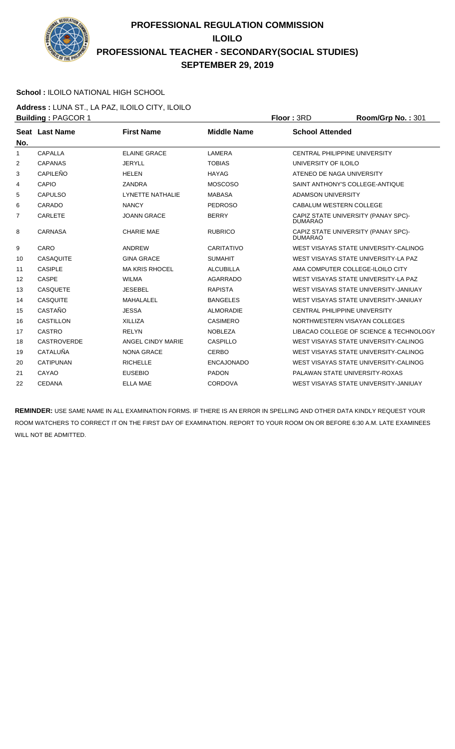

### **School :** ILOILO NATIONAL HIGH SCHOOL

**Address :** LUNA ST., LA PAZ, ILOILO CITY, ILOILO **Building : PAGCOR 1 Floor : 3RD Room/Grp No. : 301** 

|                |                       |                       |                    | .                                                     |
|----------------|-----------------------|-----------------------|--------------------|-------------------------------------------------------|
| No.            | <b>Seat Last Name</b> | <b>First Name</b>     | <b>Middle Name</b> | <b>School Attended</b>                                |
| $\mathbf{1}$   | CAPALLA               | <b>ELAINE GRACE</b>   | LAMERA             | CENTRAL PHILIPPINE UNIVERSITY                         |
| 2              | <b>CAPANAS</b>        | <b>JERYLL</b>         | <b>TOBIAS</b>      | UNIVERSITY OF ILOILO                                  |
| 3              | CAPILEÑO              | <b>HELEN</b>          | <b>HAYAG</b>       | ATENEO DE NAGA UNIVERSITY                             |
| 4              | <b>CAPIO</b>          | <b>ZANDRA</b>         | <b>MOSCOSO</b>     | SAINT ANTHONY'S COLLEGE-ANTIQUE                       |
| 5              | <b>CAPULSO</b>        | LYNETTE NATHALIE      | <b>MABASA</b>      | <b>ADAMSON UNIVERSITY</b>                             |
| 6              | CARADO                | <b>NANCY</b>          | <b>PEDROSO</b>     | CABALUM WESTERN COLLEGE                               |
| $\overline{7}$ | <b>CARLETE</b>        | <b>JOANN GRACE</b>    | <b>BERRY</b>       | CAPIZ STATE UNIVERSITY (PANAY SPC)-<br><b>DUMARAO</b> |
| 8              | <b>CARNASA</b>        | <b>CHARIE MAE</b>     | <b>RUBRICO</b>     | CAPIZ STATE UNIVERSITY (PANAY SPC)-<br><b>DUMARAO</b> |
| 9              | CARO                  | <b>ANDREW</b>         | <b>CARITATIVO</b>  | WEST VISAYAS STATE UNIVERSITY-CALINOG                 |
| 10             | <b>CASAQUITE</b>      | <b>GINA GRACE</b>     | <b>SUMAHIT</b>     | WEST VISAYAS STATE UNIVERSITY-LA PAZ                  |
| 11             | <b>CASIPLE</b>        | <b>MA KRIS RHOCEL</b> | <b>ALCUBILLA</b>   | AMA COMPUTER COLLEGE-ILOILO CITY                      |
| 12             | <b>CASPE</b>          | <b>WILMA</b>          | <b>AGARRADO</b>    | WEST VISAYAS STATE UNIVERSITY-LA PAZ                  |
| 13             | <b>CASQUETE</b>       | <b>JESEBEL</b>        | <b>RAPISTA</b>     | WEST VISAYAS STATE UNIVERSITY-JANIUAY                 |
| 14             | <b>CASQUITE</b>       | <b>MAHALALEL</b>      | <b>BANGELES</b>    | WEST VISAYAS STATE UNIVERSITY-JANIUAY                 |
| 15             | CASTAÑO               | <b>JESSA</b>          | <b>ALMORADIE</b>   | <b>CENTRAL PHILIPPINE UNIVERSITY</b>                  |
| 16             | CASTILLON             | <b>XILLIZA</b>        | <b>CASIMERO</b>    | NORTHWESTERN VISAYAN COLLEGES                         |
| 17             | CASTRO                | <b>RELYN</b>          | <b>NOBLEZA</b>     | LIBACAO COLLEGE OF SCIENCE & TECHNOLOGY               |
| 18             | <b>CASTROVERDE</b>    | ANGEL CINDY MARIE     | CASPILLO           | WEST VISAYAS STATE UNIVERSITY-CALINOG                 |
| 19             | <b>CATALUÑA</b>       | <b>NONA GRACE</b>     | <b>CERBO</b>       | WEST VISAYAS STATE UNIVERSITY-CALINOG                 |
| 20             | <b>CATIPUNAN</b>      | <b>RICHELLE</b>       | <b>ENCAJONADO</b>  | WEST VISAYAS STATE UNIVERSITY-CALINOG                 |
| 21             | CAYAO                 | <b>EUSEBIO</b>        | <b>PADON</b>       | PALAWAN STATE UNIVERSITY-ROXAS                        |
| 22             | <b>CEDANA</b>         | <b>ELLA MAE</b>       | <b>CORDOVA</b>     | WEST VISAYAS STATE UNIVERSITY-JANIUAY                 |
|                |                       |                       |                    |                                                       |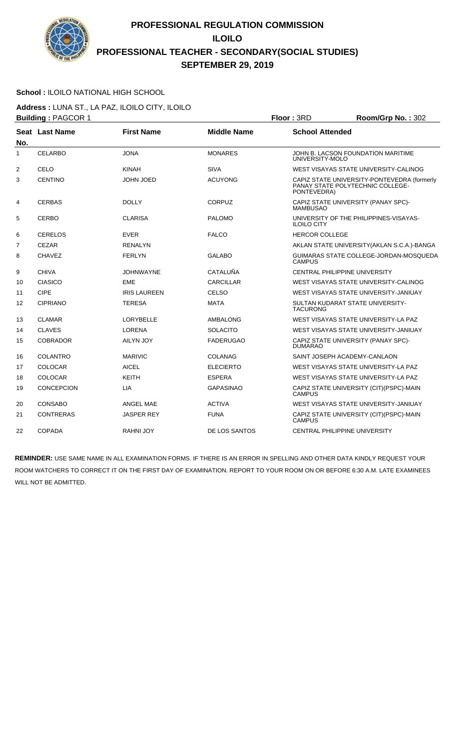

#### **School :** ILOILO NATIONAL HIGH SCHOOL

**Address :** LUNA ST., LA PAZ, ILOILO CITY, ILOILO **Building :** PAGCOR 1 **Floor :** 3RD **Room/Grp No. :** 302

|                | <b>Pananny .</b>  |                     |                    | טויי וששו<br>1100111101101101.002                                                              |
|----------------|-------------------|---------------------|--------------------|------------------------------------------------------------------------------------------------|
| No.            | Seat Last Name    | <b>First Name</b>   | <b>Middle Name</b> | <b>School Attended</b>                                                                         |
| 1              | <b>CELARBO</b>    | <b>JONA</b>         | <b>MONARES</b>     | JOHN B. LACSON FOUNDATION MARITIME<br>UNIVERSITY-MOLO                                          |
| $\overline{2}$ | CELO              | <b>KINAH</b>        | <b>SIVA</b>        | WEST VISAYAS STATE UNIVERSITY-CALINOG                                                          |
| 3              | <b>CENTINO</b>    | JOHN JOED           | <b>ACUYONG</b>     | CAPIZ STATE UNIVERSITY-PONTEVEDRA (formerly<br>PANAY STATE POLYTECHNIC COLLEGE-<br>PONTEVEDRA) |
| 4              | <b>CERBAS</b>     | <b>DOLLY</b>        | <b>CORPUZ</b>      | CAPIZ STATE UNIVERSITY (PANAY SPC)-<br><b>MAMBUSAO</b>                                         |
| 5              | <b>CERBO</b>      | <b>CLARISA</b>      | <b>PALOMO</b>      | UNIVERSITY OF THE PHILIPPINES-VISAYAS-<br><b>ILOILO CITY</b>                                   |
| 6              | <b>CERELOS</b>    | <b>EVER</b>         | <b>FALCO</b>       | <b>HERCOR COLLEGE</b>                                                                          |
| $\overline{7}$ | <b>CEZAR</b>      | <b>RENALYN</b>      |                    | AKLAN STATE UNIVERSITY (AKLAN S.C.A.)-BANGA                                                    |
| 8              | <b>CHAVEZ</b>     | <b>FERLYN</b>       | <b>GALABO</b>      | GUIMARAS STATE COLLEGE-JORDAN-MOSQUEDA<br><b>CAMPUS</b>                                        |
| 9              | <b>CHIVA</b>      | <b>JOHNWAYNE</b>    | <b>CATALUÑA</b>    | <b>CENTRAL PHILIPPINE UNIVERSITY</b>                                                           |
| 10             | <b>CIASICO</b>    | <b>EME</b>          | <b>CARCILLAR</b>   | WEST VISAYAS STATE UNIVERSITY-CALINOG                                                          |
| 11             | <b>CIPE</b>       | <b>IRIS LAUREEN</b> | <b>CELSO</b>       | WEST VISAYAS STATE UNIVERSITY-JANIUAY                                                          |
| 12             | <b>CIPRIANO</b>   | <b>TERESA</b>       | <b>MATA</b>        | SULTAN KUDARAT STATE UNIVERSITY-<br><b>TACURONG</b>                                            |
| 13             | <b>CLAMAR</b>     | <b>LORYBELLE</b>    | <b>AMBALONG</b>    | WEST VISAYAS STATE UNIVERSITY-LA PAZ                                                           |
| 14             | <b>CLAVES</b>     | <b>LORENA</b>       | <b>SOLACITO</b>    | WEST VISAYAS STATE UNIVERSITY-JANIUAY                                                          |
| 15             | <b>COBRADOR</b>   | AILYN JOY           | <b>FADERUGAO</b>   | CAPIZ STATE UNIVERSITY (PANAY SPC)-<br><b>DUMARAO</b>                                          |
| 16             | <b>COLANTRO</b>   | <b>MARIVIC</b>      | <b>COLANAG</b>     | SAINT JOSEPH ACADEMY-CANLAON                                                                   |
| 17             | <b>COLOCAR</b>    | <b>AICEL</b>        | <b>ELECIERTO</b>   | WEST VISAYAS STATE UNIVERSITY-LA PAZ                                                           |
| 18             | <b>COLOCAR</b>    | <b>KEITH</b>        | <b>ESPERA</b>      | WEST VISAYAS STATE UNIVERSITY-LA PAZ                                                           |
| 19             | <b>CONCEPCION</b> | <b>LIA</b>          | <b>GAPASINAO</b>   | CAPIZ STATE UNIVERSITY (CIT)(PSPC)-MAIN<br><b>CAMPUS</b>                                       |
| 20             | <b>CONSABO</b>    | ANGEL MAE           | <b>ACTIVA</b>      | WEST VISAYAS STATE UNIVERSITY-JANIUAY                                                          |
| 21             | <b>CONTRERAS</b>  | <b>JASPER REY</b>   | <b>FUNA</b>        | CAPIZ STATE UNIVERSITY (CIT)(PSPC)-MAIN<br><b>CAMPUS</b>                                       |
| 22             | <b>COPADA</b>     | <b>RAHNI JOY</b>    | DE LOS SANTOS      | <b>CENTRAL PHILIPPINE UNIVERSITY</b>                                                           |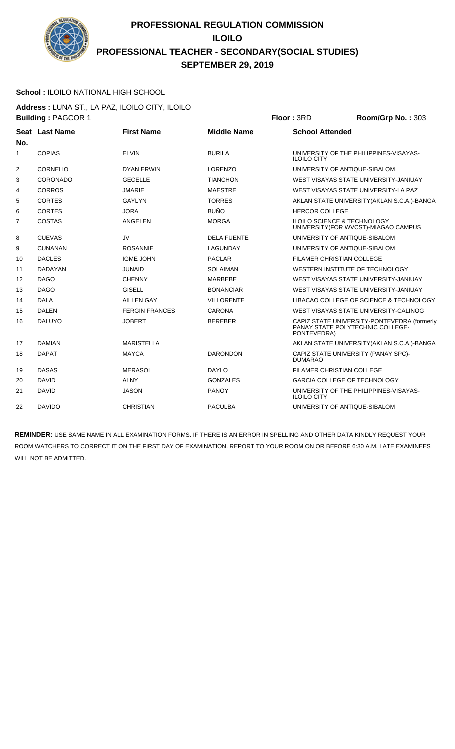

### **School :** ILOILO NATIONAL HIGH SCHOOL

**Address :** LUNA ST., LA PAZ, ILOILO CITY, ILOILO **Building : PAGCOR 1 Floor : 3RD Room/Grp No. : 303** 

|     | Punung AOOON .  |                       |                    | שיוט וייטשו<br>1100111011110111000                                                             |
|-----|-----------------|-----------------------|--------------------|------------------------------------------------------------------------------------------------|
| No. | Seat Last Name  | <b>First Name</b>     | <b>Middle Name</b> | <b>School Attended</b>                                                                         |
| 1   | <b>COPIAS</b>   | <b>ELVIN</b>          | <b>BURILA</b>      | UNIVERSITY OF THE PHILIPPINES-VISAYAS-<br><b>ILOILO CITY</b>                                   |
| 2   | <b>CORNELIO</b> | <b>DYAN ERWIN</b>     | <b>LORENZO</b>     | UNIVERSITY OF ANTIQUE-SIBALOM                                                                  |
| 3   | CORONADO        | <b>GECELLE</b>        | <b>TIANCHON</b>    | WEST VISAYAS STATE UNIVERSITY-JANIUAY                                                          |
| 4   | CORROS          | <b>JMARIE</b>         | <b>MAESTRE</b>     | WEST VISAYAS STATE UNIVERSITY-LA PAZ                                                           |
| 5   | <b>CORTES</b>   | <b>GAYLYN</b>         | <b>TORRES</b>      | AKLAN STATE UNIVERSITY (AKLAN S.C.A.)-BANGA                                                    |
| 6   | <b>CORTES</b>   | <b>JORA</b>           | <b>BUÑO</b>        | <b>HERCOR COLLEGE</b>                                                                          |
| 7   | <b>COSTAS</b>   | ANGELEN               | <b>MORGA</b>       | <b>ILOILO SCIENCE &amp; TECHNOLOGY</b><br>UNIVERSITY(FOR WVCST)-MIAGAO CAMPUS                  |
| 8   | <b>CUEVAS</b>   | <b>JV</b>             | <b>DELA FUENTE</b> | UNIVERSITY OF ANTIQUE-SIBALOM                                                                  |
| 9   | <b>CUNANAN</b>  | <b>ROSANNIE</b>       | LAGUNDAY           | UNIVERSITY OF ANTIQUE-SIBALOM                                                                  |
| 10  | <b>DACLES</b>   | <b>IGME JOHN</b>      | <b>PACLAR</b>      | <b>FILAMER CHRISTIAN COLLEGE</b>                                                               |
| 11  | <b>DADAYAN</b>  | <b>JUNAID</b>         | <b>SOLAIMAN</b>    | WESTERN INSTITUTE OF TECHNOLOGY                                                                |
| 12  | <b>DAGO</b>     | <b>CHENNY</b>         | <b>MARBEBE</b>     | WEST VISAYAS STATE UNIVERSITY-JANIUAY                                                          |
| 13  | <b>DAGO</b>     | <b>GISELL</b>         | <b>BONANCIAR</b>   | WEST VISAYAS STATE UNIVERSITY-JANIUAY                                                          |
| 14  | <b>DALA</b>     | <b>AILLEN GAY</b>     | <b>VILLORENTE</b>  | LIBACAO COLLEGE OF SCIENCE & TECHNOLOGY                                                        |
| 15  | <b>DALEN</b>    | <b>FERGIN FRANCES</b> | <b>CARONA</b>      | WEST VISAYAS STATE UNIVERSITY-CALINOG                                                          |
| 16  | <b>DALUYO</b>   | <b>JOBERT</b>         | <b>BEREBER</b>     | CAPIZ STATE UNIVERSITY-PONTEVEDRA (formerly<br>PANAY STATE POLYTECHNIC COLLEGE-<br>PONTEVEDRA) |
| 17  | <b>DAMIAN</b>   | <b>MARISTELLA</b>     |                    | AKLAN STATE UNIVERSITY (AKLAN S.C.A.)-BANGA                                                    |
| 18  | <b>DAPAT</b>    | <b>MAYCA</b>          | <b>DARONDON</b>    | CAPIZ STATE UNIVERSITY (PANAY SPC)-<br><b>DUMARAO</b>                                          |
| 19  | <b>DASAS</b>    | <b>MERASOL</b>        | <b>DAYLO</b>       | FILAMER CHRISTIAN COLLEGE                                                                      |
| 20  | <b>DAVID</b>    | <b>ALNY</b>           | <b>GONZALES</b>    | <b>GARCIA COLLEGE OF TECHNOLOGY</b>                                                            |
| 21  | <b>DAVID</b>    | <b>JASON</b>          | <b>PANOY</b>       | UNIVERSITY OF THE PHILIPPINES-VISAYAS-<br><b>ILOILO CITY</b>                                   |
| 22  | <b>DAVIDO</b>   | <b>CHRISTIAN</b>      | <b>PACULBA</b>     | UNIVERSITY OF ANTIQUE-SIBALOM                                                                  |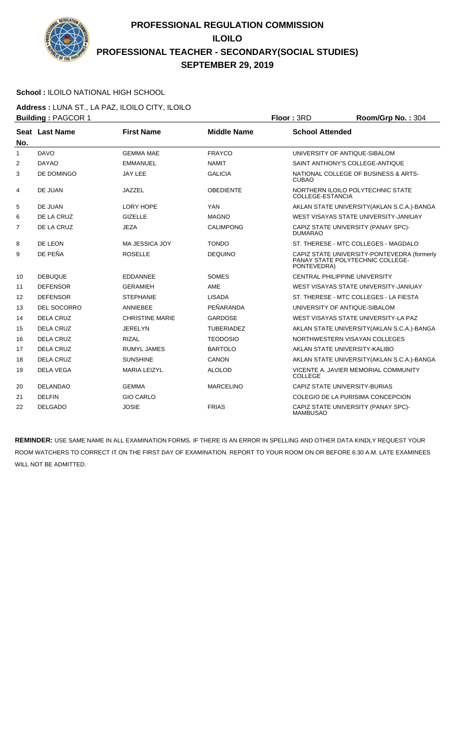

### **School :** ILOILO NATIONAL HIGH SCHOOL

**Address :** LUNA ST., LA PAZ, ILOILO CITY, ILOILO **Building : PAGCOR 1 Floor : 3RD Room/Grp No. : 304** 

| No.            | Seat Last Name     | <b>First Name</b>      | <b>Middle Name</b> | <b>School Attended</b>                                                                         |
|----------------|--------------------|------------------------|--------------------|------------------------------------------------------------------------------------------------|
| 1              | <b>DAVO</b>        | <b>GEMMA MAE</b>       | <b>FRAYCO</b>      | UNIVERSITY OF ANTIQUE-SIBALOM                                                                  |
| $\overline{2}$ | <b>DAYAO</b>       | <b>EMMANUEL</b>        | <b>NAMIT</b>       | SAINT ANTHONY'S COLLEGE-ANTIQUE                                                                |
| 3              | DE DOMINGO         | <b>JAY LEE</b>         | <b>GALICIA</b>     | NATIONAL COLLEGE OF BUSINESS & ARTS-<br><b>CUBAO</b>                                           |
| 4              | DE JUAN            | JAZZEL                 | <b>OBEDIENTE</b>   | NORTHERN ILOILO POLYTECHNIC STATE<br><b>COLLEGE-ESTANCIA</b>                                   |
| 5              | DE JUAN            | LORY HOPE              | <b>YAN</b>         | AKLAN STATE UNIVERSITY (AKLAN S.C.A.)-BANGA                                                    |
| 6              | DE LA CRUZ         | <b>GIZELLE</b>         | <b>MAGNO</b>       | WEST VISAYAS STATE UNIVERSITY-JANIUAY                                                          |
| $\overline{7}$ | DE LA CRUZ         | <b>JEZA</b>            | <b>CALIMPONG</b>   | CAPIZ STATE UNIVERSITY (PANAY SPC)-<br><b>DUMARAO</b>                                          |
| 8              | DE LEON            | <b>MA JESSICA JOY</b>  | <b>TONDO</b>       | ST. THERESE - MTC COLLEGES - MAGDALO                                                           |
| 9              | DE PEÑA            | <b>ROSELLE</b>         | <b>DEQUINO</b>     | CAPIZ STATE UNIVERSITY-PONTEVEDRA (formerly<br>PANAY STATE POLYTECHNIC COLLEGE-<br>PONTEVEDRA) |
| 10             | <b>DEBUQUE</b>     | <b>EDDANNEE</b>        | <b>SOMES</b>       | <b>CENTRAL PHILIPPINE UNIVERSITY</b>                                                           |
| 11             | <b>DEFENSOR</b>    | <b>GERAMIEH</b>        | AME                | WEST VISAYAS STATE UNIVERSITY-JANIUAY                                                          |
| 12             | <b>DEFENSOR</b>    | <b>STEPHANIE</b>       | <b>LISADA</b>      | ST. THERESE - MTC COLLEGES - LA FIESTA                                                         |
| 13             | <b>DEL SOCORRO</b> | <b>ANNIEBEE</b>        | PEÑARANDA          | UNIVERSITY OF ANTIQUE-SIBALOM                                                                  |
| 14             | <b>DELA CRUZ</b>   | <b>CHRISTINE MARIE</b> | <b>GARDOSE</b>     | WEST VISAYAS STATE UNIVERSITY-LA PAZ                                                           |
| 15             | <b>DELA CRUZ</b>   | <b>JERELYN</b>         | <b>TUBERIADEZ</b>  | AKLAN STATE UNIVERSITY (AKLAN S.C.A.)-BANGA                                                    |
| 16             | <b>DELA CRUZ</b>   | <b>RIZAL</b>           | <b>TEODOSIO</b>    | NORTHWESTERN VISAYAN COLLEGES                                                                  |
| 17             | <b>DELA CRUZ</b>   | <b>RUMYL JAMES</b>     | <b>BARTOLO</b>     | AKLAN STATE UNIVERSITY-KALIBO                                                                  |
| 18             | <b>DELA CRUZ</b>   | <b>SUNSHINE</b>        | <b>CANON</b>       | AKLAN STATE UNIVERSITY (AKLAN S.C.A.)-BANGA                                                    |
| 19             | <b>DELA VEGA</b>   | <b>MARIA LEIZYL</b>    | <b>ALOLOD</b>      | VICENTE A. JAVIER MEMORIAL COMMUNITY<br><b>COLLEGE</b>                                         |
| 20             | <b>DELANDAO</b>    | <b>GEMMA</b>           | <b>MARCELINO</b>   | CAPIZ STATE UNIVERSITY-BURIAS                                                                  |
| 21             | <b>DELFIN</b>      | <b>GIO CARLO</b>       |                    | COLEGIO DE LA PURISIMA CONCEPCION                                                              |
| 22             | <b>DELGADO</b>     | <b>JOSIE</b>           | <b>FRIAS</b>       | CAPIZ STATE UNIVERSITY (PANAY SPC)-<br><b>MAMBUSAO</b>                                         |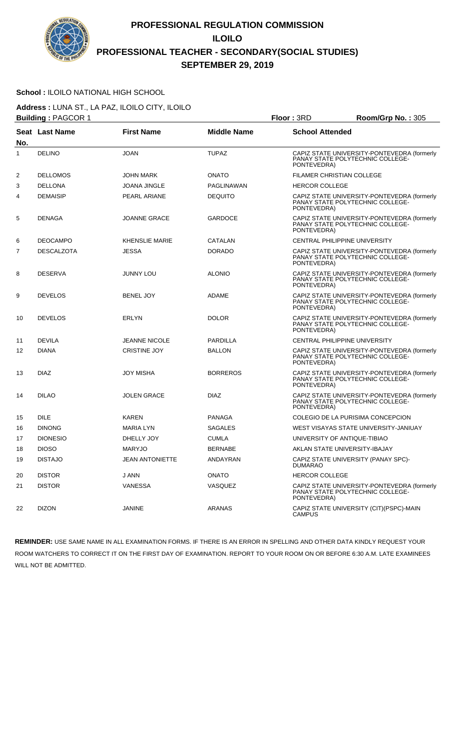

#### **School :** ILOILO NATIONAL HIGH SCHOOL

**Address :** LUNA ST., LA PAZ, ILOILO CITY, ILOILO **Building :** PAGCOR 1 **Floor :** 3RD **Room/Grp No. :** 305

|     | <b>Punung .</b> . AOOON . |                        |                    | טויי ויטשו<br>$11001110$ . $110110$                                                            |
|-----|---------------------------|------------------------|--------------------|------------------------------------------------------------------------------------------------|
|     | <b>Seat Last Name</b>     | <b>First Name</b>      | <b>Middle Name</b> | <b>School Attended</b>                                                                         |
| No. |                           |                        |                    |                                                                                                |
| 1   | <b>DELINO</b>             | <b>JOAN</b>            | <b>TUPAZ</b>       | CAPIZ STATE UNIVERSITY-PONTEVEDRA (formerly<br>PANAY STATE POLYTECHNIC COLLEGE-<br>PONTEVEDRA) |
| 2   | <b>DELLOMOS</b>           | <b>JOHN MARK</b>       | <b>ONATO</b>       | <b>FILAMER CHRISTIAN COLLEGE</b>                                                               |
| 3   | <b>DELLONA</b>            | <b>JOANA JINGLE</b>    | PAGLINAWAN         | <b>HERCOR COLLEGE</b>                                                                          |
| 4   | <b>DEMAISIP</b>           | PEARL ARIANE           | <b>DEQUITO</b>     | CAPIZ STATE UNIVERSITY-PONTEVEDRA (formerly<br>PANAY STATE POLYTECHNIC COLLEGE-<br>PONTEVEDRA) |
| 5   | <b>DENAGA</b>             | <b>JOANNE GRACE</b>    | <b>GARDOCE</b>     | CAPIZ STATE UNIVERSITY-PONTEVEDRA (formerly<br>PANAY STATE POLYTECHNIC COLLEGE-<br>PONTEVEDRA) |
| 6   | <b>DEOCAMPO</b>           | <b>KHENSLIE MARIE</b>  | CATALAN            | CENTRAL PHILIPPINE UNIVERSITY                                                                  |
| 7   | <b>DESCALZOTA</b>         | <b>JESSA</b>           | <b>DORADO</b>      | CAPIZ STATE UNIVERSITY-PONTEVEDRA (formerly<br>PANAY STATE POLYTECHNIC COLLEGE-<br>PONTEVEDRA) |
| 8   | <b>DESERVA</b>            | <b>JUNNY LOU</b>       | <b>ALONIO</b>      | CAPIZ STATE UNIVERSITY-PONTEVEDRA (formerly<br>PANAY STATE POLYTECHNIC COLLEGE-<br>PONTEVEDRA) |
| 9   | <b>DEVELOS</b>            | <b>BENEL JOY</b>       | <b>ADAME</b>       | CAPIZ STATE UNIVERSITY-PONTEVEDRA (formerly<br>PANAY STATE POLYTECHNIC COLLEGE-<br>PONTEVEDRA) |
| 10  | <b>DEVELOS</b>            | <b>ERLYN</b>           | <b>DOLOR</b>       | CAPIZ STATE UNIVERSITY-PONTEVEDRA (formerly<br>PANAY STATE POLYTECHNIC COLLEGE-<br>PONTEVEDRA) |
| 11  | <b>DEVILA</b>             | <b>JEANNE NICOLE</b>   | <b>PARDILLA</b>    | CENTRAL PHILIPPINE UNIVERSITY                                                                  |
| 12  | <b>DIANA</b>              | <b>CRISTINE JOY</b>    | <b>BALLON</b>      | CAPIZ STATE UNIVERSITY-PONTEVEDRA (formerly<br>PANAY STATE POLYTECHNIC COLLEGE-<br>PONTEVEDRA) |
| 13  | <b>DIAZ</b>               | <b>JOY MISHA</b>       | <b>BORREROS</b>    | CAPIZ STATE UNIVERSITY-PONTEVEDRA (formerly<br>PANAY STATE POLYTECHNIC COLLEGE-<br>PONTEVEDRA) |
| 14  | <b>DILAO</b>              | <b>JOLEN GRACE</b>     | <b>DIAZ</b>        | CAPIZ STATE UNIVERSITY-PONTEVEDRA (formerly<br>PANAY STATE POLYTECHNIC COLLEGE-<br>PONTEVEDRA) |
| 15  | <b>DILE</b>               | <b>KAREN</b>           | PANAGA             | COLEGIO DE LA PURISIMA CONCEPCION                                                              |
| 16  | <b>DINONG</b>             | MARIA LYN              | <b>SAGALES</b>     | WEST VISAYAS STATE UNIVERSITY-JANIUAY                                                          |
| 17  | <b>DIONESIO</b>           | DHELLY JOY             | <b>CUMLA</b>       | UNIVERSITY OF ANTIQUE-TIBIAO                                                                   |
| 18  | <b>DIOSO</b>              | <b>MARYJO</b>          | <b>BERNABE</b>     | AKLAN STATE UNIVERSITY-IBAJAY                                                                  |
| 19  | <b>DISTAJO</b>            | <b>JEAN ANTONIETTE</b> | ANDAYRAN           | CAPIZ STATE UNIVERSITY (PANAY SPC)-<br><b>DUMARAO</b>                                          |
| 20  | <b>DISTOR</b>             | J ANN                  | <b>ONATO</b>       | <b>HERCOR COLLEGE</b>                                                                          |
| 21  | <b>DISTOR</b>             | <b>VANESSA</b>         | VASQUEZ            | CAPIZ STATE UNIVERSITY-PONTEVEDRA (formerly<br>PANAY STATE POLYTECHNIC COLLEGE-<br>PONTEVEDRA) |
| 22  | <b>DIZON</b>              | JANINE                 | ARANAS             | CAPIZ STATE UNIVERSITY (CIT)(PSPC)-MAIN<br>CAMPUS                                              |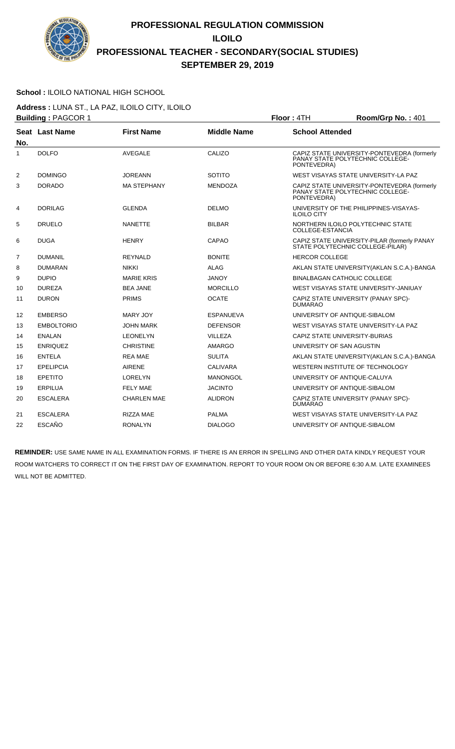

#### **School :** ILOILO NATIONAL HIGH SCHOOL

**Address :** LUNA ST., LA PAZ, ILOILO CITY, ILOILO **Building : PAGCOR 1 Floor : 4TH Room/Grp No. : 401** 

|                | <b>Panamig .</b>  |                    |                    | . <del>.</del><br>11001110011011011011                                                         |  |
|----------------|-------------------|--------------------|--------------------|------------------------------------------------------------------------------------------------|--|
| No.            | Seat Last Name    | <b>First Name</b>  | <b>Middle Name</b> | <b>School Attended</b>                                                                         |  |
| $\mathbf{1}$   | <b>DOLFO</b>      | <b>AVEGALE</b>     | CALIZO             | CAPIZ STATE UNIVERSITY-PONTEVEDRA (formerly<br>PANAY STATE POLYTECHNIC COLLEGE-<br>PONTEVEDRA) |  |
| 2              | <b>DOMINGO</b>    | <b>JOREANN</b>     | <b>SOTITO</b>      | WEST VISAYAS STATE UNIVERSITY-LA PAZ                                                           |  |
| 3              | <b>DORADO</b>     | <b>MA STEPHANY</b> | <b>MENDOZA</b>     | CAPIZ STATE UNIVERSITY-PONTEVEDRA (formerly PANAY STATE POLYTECHNIC COLLEGE-<br>PONTEVEDRA)    |  |
| 4              | <b>DORILAG</b>    | <b>GLENDA</b>      | <b>DELMO</b>       | UNIVERSITY OF THE PHILIPPINES-VISAYAS-<br><b>ILOILO CITY</b>                                   |  |
| 5              | <b>DRUELO</b>     | <b>NANETTE</b>     | <b>BILBAR</b>      | NORTHERN ILOILO POLYTECHNIC STATE<br><b>COLLEGE-ESTANCIA</b>                                   |  |
| 6              | <b>DUGA</b>       | <b>HENRY</b>       | <b>CAPAO</b>       | CAPIZ STATE UNIVERSITY-PILAR (formerly PANAY<br>STATE POLYTECHNIC COLLEGE-PILAR)               |  |
| $\overline{7}$ | <b>DUMANIL</b>    | <b>REYNALD</b>     | <b>BONITE</b>      | <b>HERCOR COLLEGE</b>                                                                          |  |
| 8              | <b>DUMARAN</b>    | <b>NIKKI</b>       | <b>ALAG</b>        | AKLAN STATE UNIVERSITY (AKLAN S.C.A.)-BANGA                                                    |  |
| 9              | <b>DUPIO</b>      | <b>MARIE KRIS</b>  | <b>JANOY</b>       | <b>BINALBAGAN CATHOLIC COLLEGE</b>                                                             |  |
| 10             | <b>DUREZA</b>     | <b>BEA JANE</b>    | <b>MORCILLO</b>    | WEST VISAYAS STATE UNIVERSITY-JANIUAY                                                          |  |
| 11             | <b>DURON</b>      | <b>PRIMS</b>       | <b>OCATE</b>       | CAPIZ STATE UNIVERSITY (PANAY SPC)-<br><b>DUMARAO</b>                                          |  |
| 12             | <b>EMBERSO</b>    | MARY JOY           | <b>ESPANUEVA</b>   | UNIVERSITY OF ANTIQUE-SIBALOM                                                                  |  |
| 13             | <b>EMBOLTORIO</b> | <b>JOHN MARK</b>   | <b>DEFENSOR</b>    | WEST VISAYAS STATE UNIVERSITY-LA PAZ                                                           |  |
| 14             | <b>ENALAN</b>     | <b>LEONELYN</b>    | <b>VILLEZA</b>     | CAPIZ STATE UNIVERSITY-BURIAS                                                                  |  |
| 15             | <b>ENRIQUEZ</b>   | <b>CHRISTINE</b>   | AMARGO             | UNIVERSITY OF SAN AGUSTIN                                                                      |  |
| 16             | <b>ENTELA</b>     | <b>REA MAE</b>     | <b>SULITA</b>      | AKLAN STATE UNIVERSITY (AKLAN S.C.A.)-BANGA                                                    |  |
| 17             | <b>EPELIPCIA</b>  | <b>AIRENE</b>      | <b>CALIVARA</b>    | WESTERN INSTITUTE OF TECHNOLOGY                                                                |  |
| 18             | <b>EPETITO</b>    | <b>LORELYN</b>     | <b>MANONGOL</b>    | UNIVERSITY OF ANTIQUE-CALUYA                                                                   |  |
| 19             | <b>ERPILUA</b>    | FELY MAE           | <b>JACINTO</b>     | UNIVERSITY OF ANTIQUE-SIBALOM                                                                  |  |
| 20             | <b>ESCALERA</b>   | <b>CHARLEN MAE</b> | <b>ALIDRON</b>     | CAPIZ STATE UNIVERSITY (PANAY SPC)-<br><b>DUMARAO</b>                                          |  |
| 21             | <b>ESCALERA</b>   | <b>RIZZA MAE</b>   | <b>PALMA</b>       | WEST VISAYAS STATE UNIVERSITY-LA PAZ                                                           |  |
| 22             | <b>ESCAÑO</b>     | <b>RONALYN</b>     | <b>DIALOGO</b>     | UNIVERSITY OF ANTIQUE-SIBALOM                                                                  |  |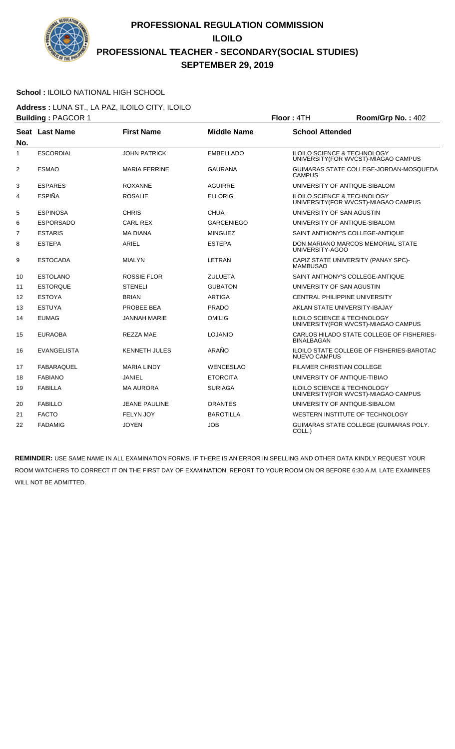

### **School :** ILOILO NATIONAL HIGH SCHOOL

**Address :** LUNA ST., LA PAZ, ILOILO CITY, ILOILO **Building : PAGCOR 1 Floor : 4TH Room/Grp No. : 402** 

| No.            | Seat Last Name     | <b>First Name</b>    | <b>Middle Name</b> | <b>School Attended</b>                                                         |
|----------------|--------------------|----------------------|--------------------|--------------------------------------------------------------------------------|
| 1              | <b>ESCORDIAL</b>   | <b>JOHN PATRICK</b>  | <b>EMBELLADO</b>   | <b>ILOILO SCIENCE &amp; TECHNOLOGY</b><br>UNIVERSITY (FOR WVCST)-MIAGAO CAMPUS |
| $\overline{2}$ | <b>ESMAO</b>       | <b>MARIA FERRINE</b> | <b>GAURANA</b>     | GUIMARAS STATE COLLEGE-JORDAN-MOSQUEDA<br><b>CAMPUS</b>                        |
| 3              | <b>ESPARES</b>     | <b>ROXANNE</b>       | <b>AGUIRRE</b>     | UNIVERSITY OF ANTIQUE-SIBALOM                                                  |
| 4              | <b>ESPIÑA</b>      | <b>ROSALIE</b>       | <b>ELLORIG</b>     | <b>ILOILO SCIENCE &amp; TECHNOLOGY</b><br>UNIVERSITY (FOR WVCST)-MIAGAO CAMPUS |
| 5              | <b>ESPINOSA</b>    | <b>CHRIS</b>         | <b>CHUA</b>        | UNIVERSITY OF SAN AGUSTIN                                                      |
| 6              | <b>ESPORSADO</b>   | <b>CARL REX</b>      | <b>GARCENIEGO</b>  | UNIVERSITY OF ANTIQUE-SIBALOM                                                  |
| 7              | <b>ESTARIS</b>     | <b>MA DIANA</b>      | <b>MINGUEZ</b>     | SAINT ANTHONY'S COLLEGE-ANTIQUE                                                |
| 8              | <b>ESTEPA</b>      | <b>ARIEL</b>         | <b>ESTEPA</b>      | DON MARIANO MARCOS MEMORIAL STATE<br>UNIVERSITY-AGOO                           |
| 9              | <b>ESTOCADA</b>    | <b>MIALYN</b>        | LETRAN             | CAPIZ STATE UNIVERSITY (PANAY SPC)-<br><b>MAMBUSAO</b>                         |
| 10             | <b>ESTOLANO</b>    | <b>ROSSIE FLOR</b>   | <b>ZULUETA</b>     | SAINT ANTHONY'S COLLEGE-ANTIQUE                                                |
| 11             | <b>ESTORQUE</b>    | <b>STENELI</b>       | <b>GUBATON</b>     | UNIVERSITY OF SAN AGUSTIN                                                      |
| 12             | <b>ESTOYA</b>      | <b>BRIAN</b>         | <b>ARTIGA</b>      | <b>CENTRAL PHILIPPINE UNIVERSITY</b>                                           |
| 13             | <b>ESTUYA</b>      | PROBEE BEA           | <b>PRADO</b>       | AKLAN STATE UNIVERSITY-IBAJAY                                                  |
| 14             | <b>EUMAG</b>       | JANNAH MARIE         | OMILIG             | <b>ILOILO SCIENCE &amp; TECHNOLOGY</b><br>UNIVERSITY (FOR WVCST)-MIAGAO CAMPUS |
| 15             | <b>EURAOBA</b>     | REZZA MAE            | <b>LOJANIO</b>     | CARLOS HILADO STATE COLLEGE OF FISHERIES-<br><b>BINALBAGAN</b>                 |
| 16             | <b>EVANGELISTA</b> | <b>KENNETH JULES</b> | ARAÑO              | ILOILO STATE COLLEGE OF FISHERIES-BAROTAC<br><b>NUEVO CAMPUS</b>               |
| 17             | <b>FABARAQUEL</b>  | <b>MARIA LINDY</b>   | <b>WENCESLAO</b>   | <b>FILAMER CHRISTIAN COLLEGE</b>                                               |
| 18             | <b>FABIANO</b>     | JANIEL               | <b>ETORCITA</b>    | UNIVERSITY OF ANTIQUE-TIBIAO                                                   |
| 19             | <b>FABILLA</b>     | <b>MA AURORA</b>     | <b>SURIAGA</b>     | <b>ILOILO SCIENCE &amp; TECHNOLOGY</b><br>UNIVERSITY (FOR WVCST)-MIAGAO CAMPUS |
| 20             | <b>FABILLO</b>     | JEANE PAULINE        | <b>ORANTES</b>     | UNIVERSITY OF ANTIQUE-SIBALOM                                                  |
| 21             | <b>FACTO</b>       | <b>FELYN JOY</b>     | <b>BAROTILLA</b>   | WESTERN INSTITUTE OF TECHNOLOGY                                                |
| 22             | <b>FADAMIG</b>     | <b>JOYEN</b>         | <b>JOB</b>         | GUIMARAS STATE COLLEGE (GUIMARAS POLY.<br>COLL.)                               |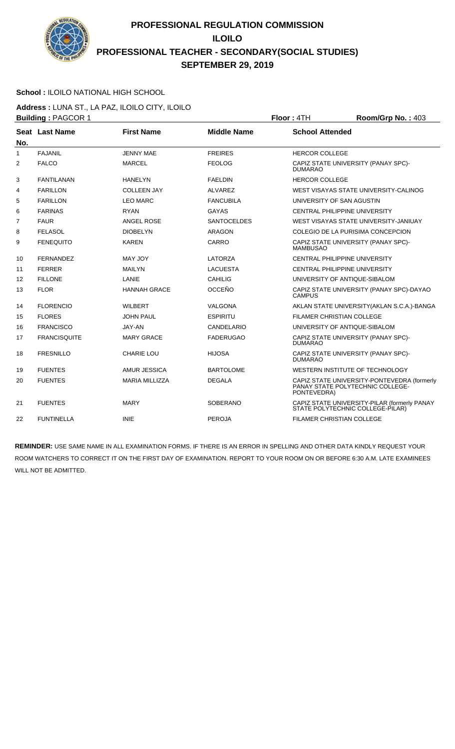

#### **School :** ILOILO NATIONAL HIGH SCHOOL

**Address :** LUNA ST., LA PAZ, ILOILO CITY, ILOILO **Building : PAGCOR 1 Floor : 4TH Room/Grp No. : 403** 

|                | <b>Panamig .</b> 000 |                       |                    | . <del>.</del><br>110011101110111011100                                                        |
|----------------|----------------------|-----------------------|--------------------|------------------------------------------------------------------------------------------------|
| No.            | Seat Last Name       | <b>First Name</b>     | <b>Middle Name</b> | <b>School Attended</b>                                                                         |
| $\mathbf{1}$   | <b>FAJANIL</b>       | <b>JENNY MAE</b>      | <b>FREIRES</b>     | <b>HERCOR COLLEGE</b>                                                                          |
| 2              | <b>FALCO</b>         | <b>MARCEL</b>         | <b>FEOLOG</b>      | CAPIZ STATE UNIVERSITY (PANAY SPC)-<br><b>DUMARAO</b>                                          |
| 3              | <b>FANTILANAN</b>    | <b>HANELYN</b>        | <b>FAELDIN</b>     | <b>HERCOR COLLEGE</b>                                                                          |
| 4              | <b>FARILLON</b>      | <b>COLLEEN JAY</b>    | ALVAREZ            | WEST VISAYAS STATE UNIVERSITY-CALINOG                                                          |
| 5              | <b>FARILLON</b>      | <b>LEO MARC</b>       | <b>FANCUBILA</b>   | UNIVERSITY OF SAN AGUSTIN                                                                      |
| 6              | <b>FARINAS</b>       | <b>RYAN</b>           | <b>GAYAS</b>       | CENTRAL PHILIPPINE UNIVERSITY                                                                  |
| $\overline{7}$ | <b>FAUR</b>          | ANGEL ROSE            | <b>SANTOCELDES</b> | WEST VISAYAS STATE UNIVERSITY-JANIUAY                                                          |
| 8              | <b>FELASOL</b>       | <b>DIOBELYN</b>       | <b>ARAGON</b>      | COLEGIO DE LA PURISIMA CONCEPCION                                                              |
| 9              | <b>FENEQUITO</b>     | <b>KAREN</b>          | <b>CARRO</b>       | CAPIZ STATE UNIVERSITY (PANAY SPC)-<br><b>MAMBUSAO</b>                                         |
| 10             | <b>FERNANDEZ</b>     | MAY JOY               | LATORZA            | CENTRAL PHILIPPINE UNIVERSITY                                                                  |
| 11             | <b>FERRER</b>        | <b>MAILYN</b>         | <b>LACUESTA</b>    | <b>CENTRAL PHILIPPINE UNIVERSITY</b>                                                           |
| 12             | <b>FILLONE</b>       | LANIE                 | <b>CAHILIG</b>     | UNIVERSITY OF ANTIQUE-SIBALOM                                                                  |
| 13             | <b>FLOR</b>          | <b>HANNAH GRACE</b>   | <b>OCCEÑO</b>      | CAPIZ STATE UNIVERSITY (PANAY SPC)-DAYAO<br><b>CAMPUS</b>                                      |
| 14             | <b>FLORENCIO</b>     | <b>WILBERT</b>        | VALGONA            | AKLAN STATE UNIVERSITY (AKLAN S.C.A.)-BANGA                                                    |
| 15             | <b>FLORES</b>        | <b>JOHN PAUL</b>      | <b>ESPIRITU</b>    | <b>FILAMER CHRISTIAN COLLEGE</b>                                                               |
| 16             | <b>FRANCISCO</b>     | JAY-AN                | CANDELARIO         | UNIVERSITY OF ANTIQUE-SIBALOM                                                                  |
| 17             | <b>FRANCISQUITE</b>  | <b>MARY GRACE</b>     | <b>FADERUGAO</b>   | CAPIZ STATE UNIVERSITY (PANAY SPC)-<br><b>DUMARAO</b>                                          |
| 18             | <b>FRESNILLO</b>     | <b>CHARIE LOU</b>     | <b>HIJOSA</b>      | CAPIZ STATE UNIVERSITY (PANAY SPC)-<br><b>DUMARAO</b>                                          |
| 19             | <b>FUENTES</b>       | AMUR JESSICA          | <b>BARTOLOME</b>   | WESTERN INSTITUTE OF TECHNOLOGY                                                                |
| 20             | <b>FUENTES</b>       | <b>MARIA MILLIZZA</b> | <b>DEGALA</b>      | CAPIZ STATE UNIVERSITY-PONTEVEDRA (formerly<br>PANAY STATE POLYTECHNIC COLLEGE-<br>PONTEVEDRA) |
| 21             | <b>FUENTES</b>       | <b>MARY</b>           | <b>SOBERANO</b>    | CAPIZ STATE UNIVERSITY-PILAR (formerly PANAY<br>STATE POLYTECHNIC COLLEGE-PILAR)               |
| 22             | <b>FUNTINELLA</b>    | <b>INIE</b>           | <b>PEROJA</b>      | FILAMER CHRISTIAN COLLEGE                                                                      |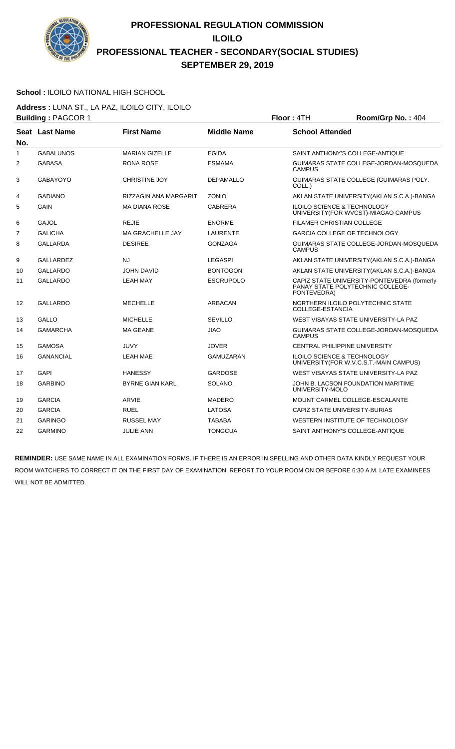

### **School :** ILOILO NATIONAL HIGH SCHOOL

**Address :** LUNA ST., LA PAZ, ILOILO CITY, ILOILO **Building : PAGCOR 1 Floor : 4TH Room/Grp No. : 404** 

| No.            | Seat Last Name   | <b>First Name</b>       | <b>Middle Name</b> | <b>School Attended</b>                                                                         |
|----------------|------------------|-------------------------|--------------------|------------------------------------------------------------------------------------------------|
| 1              | <b>GABALUNOS</b> | <b>MARIAN GIZELLE</b>   | <b>EGIDA</b>       | SAINT ANTHONY'S COLLEGE-ANTIQUE                                                                |
| $\overline{2}$ | <b>GABASA</b>    | <b>RONA ROSE</b>        | <b>ESMAMA</b>      | GUIMARAS STATE COLLEGE-JORDAN-MOSQUEDA<br><b>CAMPUS</b>                                        |
| 3              | <b>GABAYOYO</b>  | <b>CHRISTINE JOY</b>    | <b>DEPAMALLO</b>   | GUIMARAS STATE COLLEGE (GUIMARAS POLY.<br>COLL.)                                               |
| 4              | <b>GADIANO</b>   | RIZZAGIN ANA MARGARIT   | <b>ZONIO</b>       | AKLAN STATE UNIVERSITY (AKLAN S.C.A.)-BANGA                                                    |
| 5              | <b>GAIN</b>      | <b>MA DIANA ROSE</b>    | <b>CABRERA</b>     | ILOILO SCIENCE & TECHNOLOGY<br>UNIVERSITY (FOR WVCST)-MIAGAO CAMPUS                            |
| 6              | <b>GAJOL</b>     | <b>REJIE</b>            | <b>ENORME</b>      | <b>FILAMER CHRISTIAN COLLEGE</b>                                                               |
| $\overline{7}$ | <b>GALICHA</b>   | <b>MA GRACHELLE JAY</b> | <b>LAURENTE</b>    | GARCIA COLLEGE OF TECHNOLOGY                                                                   |
| 8              | <b>GALLARDA</b>  | <b>DESIREE</b>          | <b>GONZAGA</b>     | GUIMARAS STATE COLLEGE-JORDAN-MOSQUEDA<br><b>CAMPUS</b>                                        |
| 9              | <b>GALLARDEZ</b> | <b>NJ</b>               | <b>LEGASPI</b>     | AKLAN STATE UNIVERSITY (AKLAN S.C.A.)-BANGA                                                    |
| 10             | <b>GALLARDO</b>  | <b>JOHN DAVID</b>       | <b>BONTOGON</b>    | AKLAN STATE UNIVERSITY (AKLAN S.C.A.)-BANGA                                                    |
| 11             | <b>GALLARDO</b>  | <b>LEAH MAY</b>         | <b>ESCRUPOLO</b>   | CAPIZ STATE UNIVERSITY-PONTEVEDRA (formerly<br>PANAY STATE POLYTECHNIC COLLEGE-<br>PONTEVEDRA) |
| 12             | <b>GALLARDO</b>  | <b>MECHELLE</b>         | <b>ARBACAN</b>     | NORTHERN ILOILO POLYTECHNIC STATE<br>COLLEGE-ESTANCIA                                          |
| 13             | <b>GALLO</b>     | <b>MICHELLE</b>         | <b>SEVILLO</b>     | WEST VISAYAS STATE UNIVERSITY-LA PAZ                                                           |
| 14             | <b>GAMARCHA</b>  | <b>MA GEANE</b>         | OAIL               | GUIMARAS STATE COLLEGE-JORDAN-MOSQUEDA<br><b>CAMPUS</b>                                        |
| 15             | <b>GAMOSA</b>    | JUVY                    | <b>JOVER</b>       | CENTRAL PHILIPPINE UNIVERSITY                                                                  |
| 16             | <b>GANANCIAL</b> | <b>LEAH MAE</b>         | <b>GAMUZARAN</b>   | ILOILO SCIENCE & TECHNOLOGY<br>UNIVERSITY (FOR W.V.C.S.T.-MAIN CAMPUS)                         |
| 17             | <b>GAPI</b>      | <b>HANESSY</b>          | <b>GARDOSE</b>     | WEST VISAYAS STATE UNIVERSITY-LA PAZ                                                           |
| 18             | <b>GARBINO</b>   | <b>BYRNE GIAN KARL</b>  | <b>SOLANO</b>      | JOHN B. LACSON FOUNDATION MARITIME<br>UNIVERSITY-MOLO                                          |
| 19             | <b>GARCIA</b>    | ARVIE                   | <b>MADERO</b>      | MOUNT CARMEL COLLEGE-ESCALANTE                                                                 |
| 20             | <b>GARCIA</b>    | <b>RUEL</b>             | <b>LATOSA</b>      | CAPIZ STATE UNIVERSITY-BURIAS                                                                  |
| 21             | <b>GARINGO</b>   | <b>RUSSEL MAY</b>       | <b>TABABA</b>      | WESTERN INSTITUTE OF TECHNOLOGY                                                                |
| 22             | <b>GARMINO</b>   | <b>JULIE ANN</b>        | <b>TONGCUA</b>     | SAINT ANTHONY'S COLLEGE-ANTIQUE                                                                |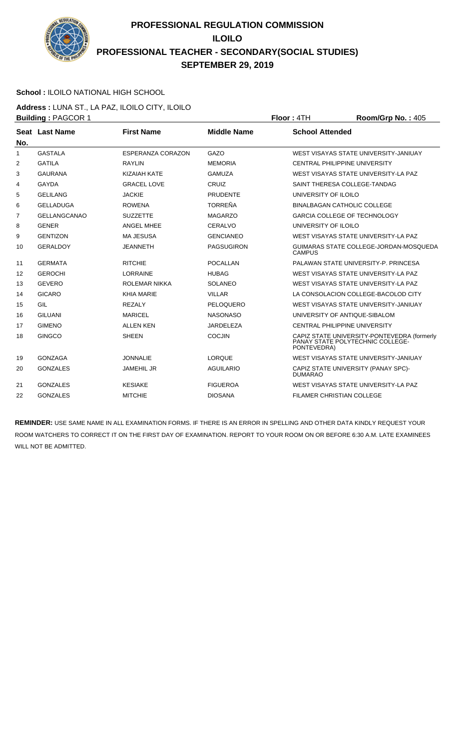

### **School :** ILOILO NATIONAL HIGH SCHOOL

**Address :** LUNA ST., LA PAZ, ILOILO CITY, ILOILO **Building : PAGCOR 1 Floor : 4TH Room/Grp No. : 405** 

| No.          | Seat Last Name      | <b>First Name</b>        | <b>Middle Name</b> | <b>School Attended</b>                                                                         |
|--------------|---------------------|--------------------------|--------------------|------------------------------------------------------------------------------------------------|
| $\mathbf{1}$ | <b>GASTALA</b>      | <b>ESPERANZA CORAZON</b> | GAZO               | WEST VISAYAS STATE UNIVERSITY-JANIUAY                                                          |
| 2            | <b>GATILA</b>       | <b>RAYLIN</b>            | <b>MEMORIA</b>     | <b>CENTRAL PHILIPPINE UNIVERSITY</b>                                                           |
| 3            | <b>GAURANA</b>      | <b>KIZAIAH KATE</b>      | <b>GAMUZA</b>      | WEST VISAYAS STATE UNIVERSITY-LA PAZ                                                           |
| 4            | <b>GAYDA</b>        | <b>GRACEL LOVE</b>       | <b>CRUIZ</b>       | SAINT THERESA COLLEGE-TANDAG                                                                   |
| 5            | <b>GELILANG</b>     | <b>JACKIE</b>            | <b>PRUDENTE</b>    | UNIVERSITY OF ILOILO                                                                           |
| 6            | <b>GELLADUGA</b>    | <b>ROWENA</b>            | <b>TORREÑA</b>     | <b>BINALBAGAN CATHOLIC COLLEGE</b>                                                             |
| 7            | <b>GELLANGCANAO</b> | <b>SUZZETTE</b>          | <b>MAGARZO</b>     | <b>GARCIA COLLEGE OF TECHNOLOGY</b>                                                            |
| 8            | <b>GENER</b>        | ANGEL MHEE               | CERALVO            | UNIVERSITY OF ILOILO                                                                           |
| 9            | <b>GENTIZON</b>     | <b>MA JESUSA</b>         | <b>GENCIANEO</b>   | WEST VISAYAS STATE UNIVERSITY-LA PAZ                                                           |
| 10           | <b>GERALDOY</b>     | <b>JEANNETH</b>          | <b>PAGSUGIRON</b>  | GUIMARAS STATE COLLEGE-JORDAN-MOSQUEDA<br><b>CAMPUS</b>                                        |
| 11           | <b>GERMATA</b>      | <b>RITCHIE</b>           | POCALLAN           | PALAWAN STATE UNIVERSITY-P. PRINCESA                                                           |
| 12           | <b>GEROCHI</b>      | <b>LORRAINE</b>          | <b>HUBAG</b>       | WEST VISAYAS STATE UNIVERSITY-LA PAZ                                                           |
| 13           | <b>GEVERO</b>       | <b>ROLEMAR NIKKA</b>     | <b>SOLANEO</b>     | WEST VISAYAS STATE UNIVERSITY-LA PAZ                                                           |
| 14           | <b>GICARO</b>       | <b>KHIA MARIE</b>        | <b>VILLAR</b>      | LA CONSOLACION COLLEGE-BACOLOD CITY                                                            |
| 15           | GIL                 | <b>REZALY</b>            | PELOQUERO          | WEST VISAYAS STATE UNIVERSITY-JANIUAY                                                          |
| 16           | <b>GILUANI</b>      | <b>MARICEL</b>           | <b>NASONASO</b>    | UNIVERSITY OF ANTIQUE-SIBALOM                                                                  |
| 17           | <b>GIMENO</b>       | <b>ALLEN KEN</b>         | JARDELEZA          | CENTRAL PHILIPPINE UNIVERSITY                                                                  |
| 18           | <b>GINGCO</b>       | <b>SHEEN</b>             | <b>COCJIN</b>      | CAPIZ STATE UNIVERSITY-PONTEVEDRA (formerly<br>PANAY STATE POLYTECHNIC COLLEGE-<br>PONTEVEDRA) |
| 19           | <b>GONZAGA</b>      | <b>JONNALIE</b>          | <b>LORQUE</b>      | WEST VISAYAS STATE UNIVERSITY-JANIUAY                                                          |
| 20           | <b>GONZALES</b>     | <b>JAMEHIL JR</b>        | <b>AGUILARIO</b>   | CAPIZ STATE UNIVERSITY (PANAY SPC)-<br><b>DUMARAO</b>                                          |
| 21           | <b>GONZALES</b>     | <b>KESIAKE</b>           | <b>FIGUEROA</b>    | WEST VISAYAS STATE UNIVERSITY-LA PAZ                                                           |
| 22           | <b>GONZALES</b>     | <b>MITCHIE</b>           | <b>DIOSANA</b>     | <b>FILAMER CHRISTIAN COLLEGE</b>                                                               |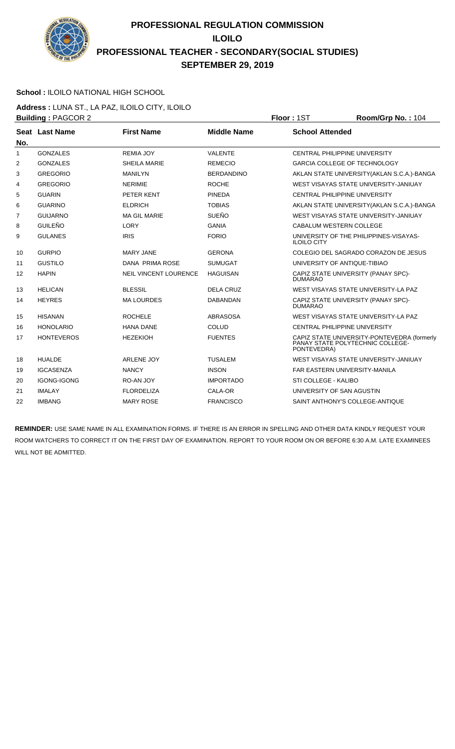

### **School :** ILOILO NATIONAL HIGH SCHOOL

**Address :** LUNA ST., LA PAZ, ILOILO CITY, ILOILO **Building : PAGCOR 2 Floor : 1ST Room/Grp No. : 104** 

|                | <b>Panging .</b> 000 . 2 |                              |                    | .<br>1100111011110111101                                                                       |
|----------------|--------------------------|------------------------------|--------------------|------------------------------------------------------------------------------------------------|
| No.            | Seat Last Name           | <b>First Name</b>            | <b>Middle Name</b> | <b>School Attended</b>                                                                         |
| 1              | <b>GONZALES</b>          | <b>REMIA JOY</b>             | <b>VALENTE</b>     | <b>CENTRAL PHILIPPINE UNIVERSITY</b>                                                           |
| 2              | <b>GONZALES</b>          | SHEILA MARIE                 | <b>REMECIO</b>     | <b>GARCIA COLLEGE OF TECHNOLOGY</b>                                                            |
| 3              | <b>GREGORIO</b>          | <b>MANILYN</b>               | <b>BERDANDINO</b>  | AKLAN STATE UNIVERSITY (AKLAN S.C.A.)-BANGA                                                    |
| $\overline{4}$ | <b>GREGORIO</b>          | <b>NERIMIE</b>               | <b>ROCHE</b>       | WEST VISAYAS STATE UNIVERSITY-JANIUAY                                                          |
| 5              | <b>GUARIN</b>            | PETER KENT                   | <b>PINEDA</b>      | <b>CENTRAL PHILIPPINE UNIVERSITY</b>                                                           |
| 6              | <b>GUARINO</b>           | <b>ELDRICH</b>               | <b>TOBIAS</b>      | AKLAN STATE UNIVERSITY (AKLAN S.C.A.)-BANGA                                                    |
| $\overline{7}$ | <b>GUIJARNO</b>          | <b>MA GIL MARIE</b>          | <b>SUEÑO</b>       | WEST VISAYAS STATE UNIVERSITY-JANIUAY                                                          |
| 8              | <b>GUILEÑO</b>           | <b>LORY</b>                  | <b>GANIA</b>       | CABALUM WESTERN COLLEGE                                                                        |
| 9              | <b>GULANES</b>           | <b>IRIS</b>                  | <b>FORIO</b>       | UNIVERSITY OF THE PHILIPPINES-VISAYAS-<br><b>ILOILO CITY</b>                                   |
| 10             | <b>GURPIO</b>            | <b>MARY JANE</b>             | <b>GERONA</b>      | COLEGIO DEL SAGRADO CORAZON DE JESUS                                                           |
| 11             | <b>GUSTILO</b>           | DANA PRIMA ROSE              | <b>SUMUGAT</b>     | UNIVERSITY OF ANTIQUE-TIBIAO                                                                   |
| 12             | <b>HAPIN</b>             | <b>NEIL VINCENT LOURENCE</b> | <b>HAGUISAN</b>    | CAPIZ STATE UNIVERSITY (PANAY SPC)-<br><b>DUMARAO</b>                                          |
| 13             | <b>HELICAN</b>           | <b>BLESSIL</b>               | <b>DELA CRUZ</b>   | WEST VISAYAS STATE UNIVERSITY-LA PAZ                                                           |
| 14             | <b>HEYRES</b>            | <b>MA LOURDES</b>            | <b>DABANDAN</b>    | CAPIZ STATE UNIVERSITY (PANAY SPC)-<br><b>DUMARAO</b>                                          |
| 15             | <b>HISANAN</b>           | <b>ROCHELE</b>               | <b>ABRASOSA</b>    | WEST VISAYAS STATE UNIVERSITY-LA PAZ                                                           |
| 16             | <b>HONOLARIO</b>         | <b>HANA DANE</b>             | <b>COLUD</b>       | <b>CENTRAL PHILIPPINE UNIVERSITY</b>                                                           |
| 17             | <b>HONTEVEROS</b>        | <b>HEZEKIOH</b>              | <b>FUENTES</b>     | CAPIZ STATE UNIVERSITY-PONTEVEDRA (formerly<br>PANAY STATE POLYTECHNIC COLLEGE-<br>PONTEVEDRA) |
| 18             | <b>HUALDE</b>            | <b>ARLENE JOY</b>            | <b>TUSALEM</b>     | WEST VISAYAS STATE UNIVERSITY-JANIUAY                                                          |
| 19             | <b>IGCASENZA</b>         | <b>NANCY</b>                 | <b>INSON</b>       | <b>FAR EASTERN UNIVERSITY-MANILA</b>                                                           |
| 20             | <b>IGONG-IGONG</b>       | RO-AN JOY                    | <b>IMPORTADO</b>   | STI COLLEGE - KALIBO                                                                           |
| 21             | <b>IMALAY</b>            | <b>FLORDELIZA</b>            | CALA-OR            | UNIVERSITY OF SAN AGUSTIN                                                                      |
| 22             | <b>IMBANG</b>            | <b>MARY ROSE</b>             | <b>FRANCISCO</b>   | SAINT ANTHONY'S COLLEGE-ANTIQUE                                                                |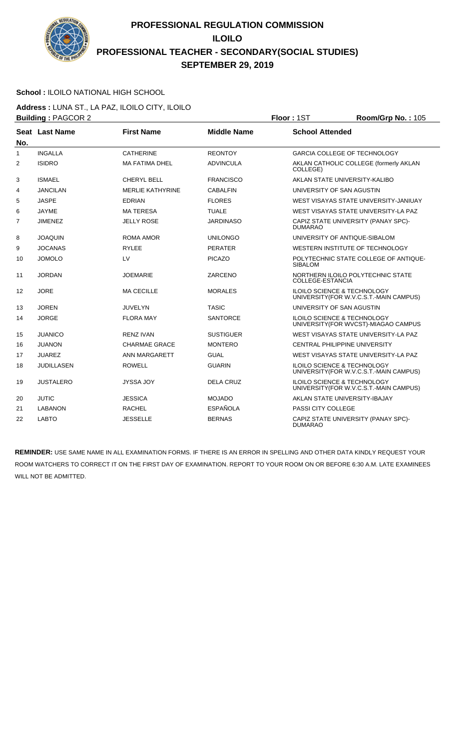

### **School :** ILOILO NATIONAL HIGH SCHOOL

**Address :** LUNA ST., LA PAZ, ILOILO CITY, ILOILO **Building :** PAGCOR 2 **Floor :** 1ST **Room/Grp No. :** 105

|                | <b>Dunung</b> . 17000112 |                         |                    | ו טיו יו<br>$1001110$ $10110$                                                     |
|----------------|--------------------------|-------------------------|--------------------|-----------------------------------------------------------------------------------|
| No.            | Seat Last Name           | <b>First Name</b>       | <b>Middle Name</b> | <b>School Attended</b>                                                            |
| $\mathbf{1}$   | <b>INGALLA</b>           | <b>CATHERINE</b>        | <b>REONTOY</b>     | <b>GARCIA COLLEGE OF TECHNOLOGY</b>                                               |
| $\overline{2}$ | <b>ISIDRO</b>            | <b>MA FATIMA DHEL</b>   | <b>ADVINCULA</b>   | AKLAN CATHOLIC COLLEGE (formerly AKLAN<br>COLLEGE)                                |
| 3              | <b>ISMAEL</b>            | CHERYL BELL             | <b>FRANCISCO</b>   | AKLAN STATE UNIVERSITY-KALIBO                                                     |
| 4              | <b>JANCILAN</b>          | <b>MERLIE KATHYRINE</b> | <b>CABALFIN</b>    | UNIVERSITY OF SAN AGUSTIN                                                         |
| 5              | <b>JASPE</b>             | <b>EDRIAN</b>           | <b>FLORES</b>      | WEST VISAYAS STATE UNIVERSITY-JANIUAY                                             |
| 6              | <b>JAYME</b>             | <b>MATERESA</b>         | <b>TUALE</b>       | WEST VISAYAS STATE UNIVERSITY-LA PAZ                                              |
| $\overline{7}$ | <b>JIMENEZ</b>           | <b>JELLY ROSE</b>       | <b>JARDINASO</b>   | CAPIZ STATE UNIVERSITY (PANAY SPC)-<br><b>DUMARAO</b>                             |
| 8              | <b>JOAQUIN</b>           | ROMA AMOR               | <b>UNILONGO</b>    | UNIVERSITY OF ANTIQUE-SIBALOM                                                     |
| 9              | <b>JOCANAS</b>           | <b>RYLEE</b>            | <b>PERATER</b>     | WESTERN INSTITUTE OF TECHNOLOGY                                                   |
| 10             | <b>JOMOLO</b>            | LV                      | <b>PICAZO</b>      | POLYTECHNIC STATE COLLEGE OF ANTIQUE-<br><b>SIBALOM</b>                           |
| 11             | <b>JORDAN</b>            | <b>JOEMARIE</b>         | ZARCENO            | NORTHERN ILOILO POLYTECHNIC STATE<br>COLLEGE-ESTANCIA                             |
| 12             | <b>JORE</b>              | <b>MA CECILLE</b>       | <b>MORALES</b>     | <b>ILOILO SCIENCE &amp; TECHNOLOGY</b><br>UNIVERSITY (FOR W.V.C.S.T.-MAIN CAMPUS) |
| 13             | <b>JOREN</b>             | <b>JUVELYN</b>          | <b>TASIC</b>       | UNIVERSITY OF SAN AGUSTIN                                                         |
| 14             | <b>JORGE</b>             | <b>FLORA MAY</b>        | <b>SANTORCE</b>    | <b>ILOILO SCIENCE &amp; TECHNOLOGY</b><br>UNIVERSITY (FOR WVCST)-MIAGAO CAMPUS    |
| 15             | <b>JUANICO</b>           | <b>RENZ IVAN</b>        | <b>SUSTIGUER</b>   | WEST VISAYAS STATE UNIVERSITY-LA PAZ                                              |
| 16             | JUANON                   | CHARMAE GRACE           | <b>MONTERO</b>     | <b>CENTRAL PHILIPPINE UNIVERSITY</b>                                              |
| 17             | <b>JUAREZ</b>            | ANN MARGARETT           | <b>GUAL</b>        | WEST VISAYAS STATE UNIVERSITY-LA PAZ                                              |
| 18             | <b>JUDILLASEN</b>        | <b>ROWELL</b>           | <b>GUARIN</b>      | ILOILO SCIENCE & TECHNOLOGY<br>UNIVERSITY (FOR W.V.C.S.T.-MAIN CAMPUS)            |
| 19             | <b>JUSTALERO</b>         | JYSSA JOY               | <b>DELA CRUZ</b>   | <b>ILOILO SCIENCE &amp; TECHNOLOGY</b><br>UNIVERSITY (FOR W.V.C.S.T.-MAIN CAMPUS) |
| 20             | <b>JUTIC</b>             | <b>JESSICA</b>          | <b>MOJADO</b>      | AKLAN STATE UNIVERSITY-IBAJAY                                                     |
| 21             | <b>LABANON</b>           | <b>RACHEL</b>           | <b>ESPAÑOLA</b>    | <b>PASSI CITY COLLEGE</b>                                                         |
| 22             | <b>LABTO</b>             | <b>JESSELLE</b>         | <b>BERNAS</b>      | CAPIZ STATE UNIVERSITY (PANAY SPC)-<br><b>DUMARAO</b>                             |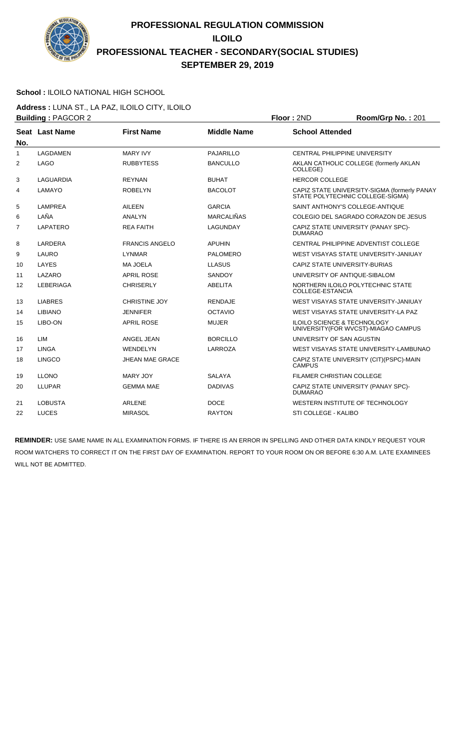

#### **School :** ILOILO NATIONAL HIGH SCHOOL

**Address :** LUNA ST., LA PAZ, ILOILO CITY, ILOILO **Building :** PAGCOR 2 **Floor :** 2ND **Room/Grp No. :** 201

| No.            | Seat Last Name   | <b>First Name</b>      | <b>Middle Name</b> | <b>School Attended</b>                                                           |
|----------------|------------------|------------------------|--------------------|----------------------------------------------------------------------------------|
| $\mathbf{1}$   | LAGDAMEN         | <b>MARY IVY</b>        | <b>PAJARILLO</b>   | <b>CENTRAL PHILIPPINE UNIVERSITY</b>                                             |
| $\overline{2}$ | LAGO             | <b>RUBBYTESS</b>       | <b>BANCULLO</b>    | AKLAN CATHOLIC COLLEGE (formerly AKLAN<br>COLLEGE)                               |
| 3              | LAGUARDIA        | <b>REYNAN</b>          | <b>BUHAT</b>       | <b>HERCOR COLLEGE</b>                                                            |
| 4              | LAMAYO           | <b>ROBELYN</b>         | <b>BACOLOT</b>     | CAPIZ STATE UNIVERSITY-SIGMA (formerly PANAY<br>STATE POLYTECHNIC COLLEGE-SIGMA) |
| 5              | <b>LAMPREA</b>   | <b>AILEEN</b>          | <b>GARCIA</b>      | SAINT ANTHONY'S COLLEGE-ANTIQUE                                                  |
| 6              | LAÑA             | <b>ANALYN</b>          | <b>MARCALIÑAS</b>  | COLEGIO DEL SAGRADO CORAZON DE JESUS                                             |
| $\overline{7}$ | LAPATERO         | <b>REA FAITH</b>       | LAGUNDAY           | CAPIZ STATE UNIVERSITY (PANAY SPC)-<br><b>DUMARAO</b>                            |
| 8              | LARDERA          | <b>FRANCIS ANGELO</b>  | <b>APUHIN</b>      | CENTRAL PHILIPPINE ADVENTIST COLLEGE                                             |
| 9              | <b>LAURO</b>     | <b>LYNMAR</b>          | <b>PALOMERO</b>    | WEST VISAYAS STATE UNIVERSITY-JANIUAY                                            |
| 10             | LAYES            | <b>MA JOELA</b>        | <b>LLASUS</b>      | CAPIZ STATE UNIVERSITY-BURIAS                                                    |
| 11             | LAZARO           | <b>APRIL ROSE</b>      | <b>SANDOY</b>      | UNIVERSITY OF ANTIQUE-SIBALOM                                                    |
| 12             | <b>LEBERIAGA</b> | <b>CHRISERLY</b>       | <b>ABELITA</b>     | NORTHERN ILOILO POLYTECHNIC STATE<br>COLLEGE-ESTANCIA                            |
| 13             | <b>LIABRES</b>   | <b>CHRISTINE JOY</b>   | <b>RENDAJE</b>     | WEST VISAYAS STATE UNIVERSITY-JANIUAY                                            |
| 14             | <b>LIBIANO</b>   | <b>JENNIFER</b>        | <b>OCTAVIO</b>     | WEST VISAYAS STATE UNIVERSITY-LA PAZ                                             |
| 15             | LIBO-ON          | <b>APRIL ROSE</b>      | <b>MUJER</b>       | <b>ILOILO SCIENCE &amp; TECHNOLOGY</b><br>UNIVERSITY (FOR WVCST)-MIAGAO CAMPUS   |
| 16             | <b>LIM</b>       | ANGEL JEAN             | <b>BORCILLO</b>    | UNIVERSITY OF SAN AGUSTIN                                                        |
| 17             | <b>LINGA</b>     | <b>WENDELYN</b>        | LARROZA            | WEST VISAYAS STATE UNIVERSITY-LAMBUNAO                                           |
| 18             | <b>LINGCO</b>    | <b>JHEAN MAE GRACE</b> |                    | CAPIZ STATE UNIVERSITY (CIT)(PSPC)-MAIN<br><b>CAMPUS</b>                         |
| 19             | <b>LLONO</b>     | MARY JOY               | <b>SALAYA</b>      | FILAMER CHRISTIAN COLLEGE                                                        |
| 20             | <b>LLUPAR</b>    | <b>GEMMA MAE</b>       | <b>DADIVAS</b>     | CAPIZ STATE UNIVERSITY (PANAY SPC)-<br><b>DUMARAO</b>                            |
| 21             | <b>LOBUSTA</b>   | <b>ARLENE</b>          | <b>DOCE</b>        | WESTERN INSTITUTE OF TECHNOLOGY                                                  |
| 22             | LUCES            | <b>MIRASOL</b>         | <b>RAYTON</b>      | STI COLLEGE - KALIBO                                                             |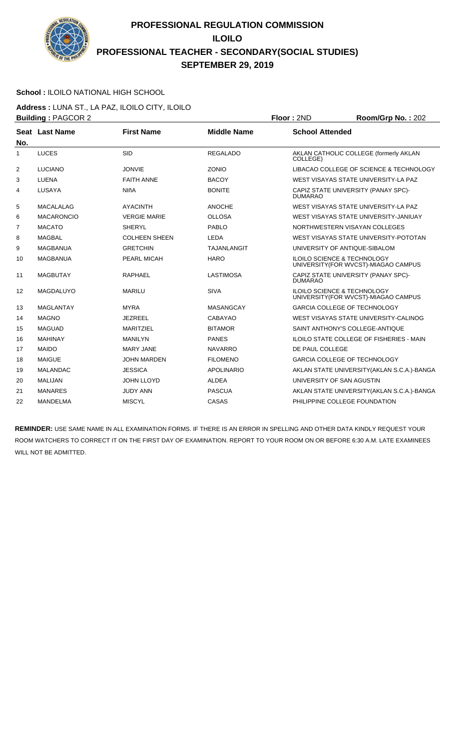

### **School :** ILOILO NATIONAL HIGH SCHOOL

**Address :** LUNA ST., LA PAZ, ILOILO CITY, ILOILO **Building :** PAGCOR 2 **Floor :** 2ND **Room/Grp No. :** 202

| No.            | Seat Last Name    | <b>First Name</b>    | <b>Middle Name</b> | <b>School Attended</b>                                                         |
|----------------|-------------------|----------------------|--------------------|--------------------------------------------------------------------------------|
| $\mathbf{1}$   | <b>LUCES</b>      | <b>SID</b>           | <b>REGALADO</b>    | AKLAN CATHOLIC COLLEGE (formerly AKLAN<br>COLLEGE)                             |
| 2              | <b>LUCIANO</b>    | <b>JONVIE</b>        | <b>ZONIO</b>       | LIBACAO COLLEGE OF SCIENCE & TECHNOLOGY                                        |
| 3              | LUENA             | <b>FAITH ANNE</b>    | <b>BACOY</b>       | WEST VISAYAS STATE UNIVERSITY-LA PAZ                                           |
| 4              | LUSAYA            | <b>NIñA</b>          | <b>BONITE</b>      | CAPIZ STATE UNIVERSITY (PANAY SPC)-<br><b>DUMARAO</b>                          |
| 5              | <b>MACALALAG</b>  | <b>AYACINTH</b>      | <b>ANOCHE</b>      | WEST VISAYAS STATE UNIVERSITY-LA PAZ                                           |
| 6              | <b>MACARONCIO</b> | <b>VERGIE MARIE</b>  | <b>OLLOSA</b>      | WEST VISAYAS STATE UNIVERSITY-JANIUAY                                          |
| $\overline{7}$ | <b>MACATO</b>     | <b>SHERYL</b>        | <b>PABLO</b>       | NORTHWESTERN VISAYAN COLLEGES                                                  |
| 8              | <b>MAGBAL</b>     | <b>COLHEEN SHEEN</b> | <b>LEDA</b>        | WEST VISAYAS STATE UNIVERSITY-POTOTAN                                          |
| 9              | <b>MAGBANUA</b>   | <b>GRETCHIN</b>      | <b>TAJANLANGIT</b> | UNIVERSITY OF ANTIQUE-SIBALOM                                                  |
| 10             | <b>MAGBANUA</b>   | PEARL MICAH          | <b>HARO</b>        | ILOILO SCIENCE & TECHNOLOGY<br>UNIVERSITY(FOR WVCST)-MIAGAO CAMPUS             |
| 11             | <b>MAGBUTAY</b>   | <b>RAPHAEL</b>       | <b>LASTIMOSA</b>   | CAPIZ STATE UNIVERSITY (PANAY SPC)-<br><b>DUMARAO</b>                          |
| 12             | MAGDALUYO         | <b>MARILU</b>        | <b>SIVA</b>        | <b>ILOILO SCIENCE &amp; TECHNOLOGY</b><br>UNIVERSITY (FOR WVCST)-MIAGAO CAMPUS |
| 13             | MAGLANTAY         | <b>MYRA</b>          | <b>MASANGCAY</b>   | <b>GARCIA COLLEGE OF TECHNOLOGY</b>                                            |
| 14             | <b>MAGNO</b>      | <b>JEZREEL</b>       | <b>CABAYAO</b>     | WEST VISAYAS STATE UNIVERSITY-CALINOG                                          |
| 15             | <b>MAGUAD</b>     | <b>MARITZIEL</b>     | <b>BITAMOR</b>     | SAINT ANTHONY'S COLLEGE-ANTIQUE                                                |
| 16             | <b>MAHINAY</b>    | <b>MANILYN</b>       | <b>PANES</b>       | ILOILO STATE COLLEGE OF FISHERIES - MAIN                                       |
| 17             | <b>MAIDO</b>      | <b>MARY JANE</b>     | <b>NAVARRO</b>     | DE PAUL COLLEGE                                                                |
| 18             | <b>MAIGUE</b>     | <b>JOHN MARDEN</b>   | <b>FILOMENO</b>    | <b>GARCIA COLLEGE OF TECHNOLOGY</b>                                            |
| 19             | <b>MALANDAC</b>   | <b>JESSICA</b>       | <b>APOLINARIO</b>  | AKLAN STATE UNIVERSITY (AKLAN S.C.A.)-BANGA                                    |
| 20             | <b>MALIJAN</b>    | <b>JOHN LLOYD</b>    | <b>ALDEA</b>       | UNIVERSITY OF SAN AGUSTIN                                                      |
| 21             | <b>MANARES</b>    | <b>JUDY ANN</b>      | <b>PASCUA</b>      | AKLAN STATE UNIVERSITY (AKLAN S.C.A.)-BANGA                                    |
| 22             | <b>MANDELMA</b>   | <b>MISCYL</b>        | CASAS              | PHILIPPINE COLLEGE FOUNDATION                                                  |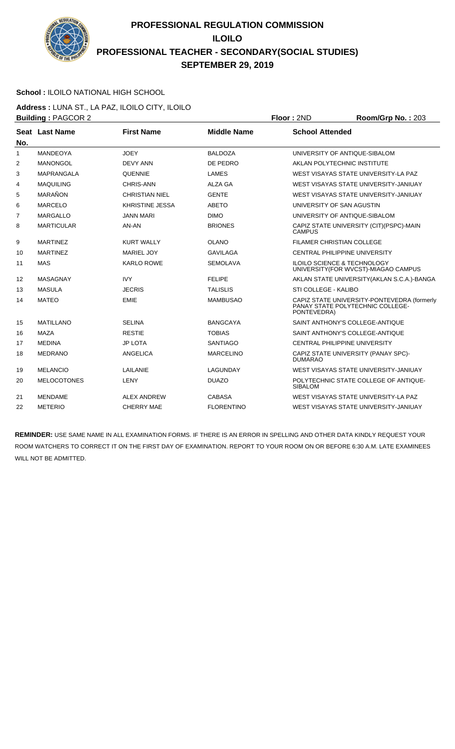

### **School :** ILOILO NATIONAL HIGH SCHOOL

**Address :** LUNA ST., LA PAZ, ILOILO CITY, ILOILO **Building :** PAGCOR 2 **Floor :** 2ND **Room/Grp No. :** 203

| No.            | Seat Last Name     | <b>First Name</b>      | <b>Middle Name</b> | <b>School Attended</b>                                                                         |
|----------------|--------------------|------------------------|--------------------|------------------------------------------------------------------------------------------------|
| 1              | MANDEOYA           | <b>JOEY</b>            | <b>BALDOZA</b>     | UNIVERSITY OF ANTIQUE-SIBALOM                                                                  |
| $\overline{2}$ | <b>MANONGOL</b>    | <b>DEVY ANN</b>        | DE PEDRO           | AKLAN POLYTECHNIC INSTITUTE                                                                    |
| 3              | <b>MAPRANGALA</b>  | <b>QUENNIE</b>         | <b>LAMES</b>       | WEST VISAYAS STATE UNIVERSITY-LA PAZ                                                           |
| 4              | <b>MAQUILING</b>   | CHRIS-ANN              | ALZA GA            | WEST VISAYAS STATE UNIVERSITY-JANIUAY                                                          |
| 5              | MARAÑON            | <b>CHRISTIAN NIEL</b>  | <b>GENTE</b>       | WEST VISAYAS STATE UNIVERSITY-JANIUAY                                                          |
| 6              | <b>MARCELO</b>     | <b>KHRISTINE JESSA</b> | <b>ABETO</b>       | UNIVERSITY OF SAN AGUSTIN                                                                      |
| $\overline{7}$ | <b>MARGALLO</b>    | <b>JANN MARI</b>       | <b>DIMO</b>        | UNIVERSITY OF ANTIQUE-SIBALOM                                                                  |
| 8              | <b>MARTICULAR</b>  | AN-AN                  | <b>BRIONES</b>     | CAPIZ STATE UNIVERSITY (CIT) (PSPC)-MAIN<br><b>CAMPUS</b>                                      |
| 9              | <b>MARTINEZ</b>    | <b>KURT WALLY</b>      | <b>OLANO</b>       | <b>FILAMER CHRISTIAN COLLEGE</b>                                                               |
| 10             | <b>MARTINEZ</b>    | <b>MARIEL JOY</b>      | <b>GAVILAGA</b>    | CENTRAL PHILIPPINE UNIVERSITY                                                                  |
| 11             | <b>MAS</b>         | <b>KARLO ROWE</b>      | <b>SEMOLAVA</b>    | <b>ILOILO SCIENCE &amp; TECHNOLOGY</b><br>UNIVERSITY (FOR WVCST)-MIAGAO CAMPUS                 |
| 12             | MASAGNAY           | <b>IVY</b>             | <b>FELIPE</b>      | AKLAN STATE UNIVERSITY (AKLAN S.C.A.)-BANGA                                                    |
| 13             | <b>MASULA</b>      | <b>JECRIS</b>          | <b>TALISLIS</b>    | STI COLLEGE - KALIBO                                                                           |
| 14             | <b>MATEO</b>       | <b>EMIE</b>            | <b>MAMBUSAO</b>    | CAPIZ STATE UNIVERSITY-PONTEVEDRA (formerly<br>PANAY STATE POLYTECHNIC COLLEGE-<br>PONTEVEDRA) |
| 15             | <b>MATILLANO</b>   | <b>SELINA</b>          | <b>BANGCAYA</b>    | SAINT ANTHONY'S COLLEGE-ANTIQUE                                                                |
| 16             | <b>MAZA</b>        | <b>RESTIE</b>          | <b>TOBIAS</b>      | SAINT ANTHONY'S COLLEGE-ANTIQUE                                                                |
| 17             | <b>MEDINA</b>      | <b>JP LOTA</b>         | <b>SANTIAGO</b>    | <b>CENTRAL PHILIPPINE UNIVERSITY</b>                                                           |
| 18             | <b>MEDRANO</b>     | ANGELICA               | <b>MARCELINO</b>   | CAPIZ STATE UNIVERSITY (PANAY SPC)-<br><b>DUMARAO</b>                                          |
| 19             | <b>MELANCIO</b>    | LAILANIE               | <b>LAGUNDAY</b>    | WEST VISAYAS STATE UNIVERSITY-JANIUAY                                                          |
| 20             | <b>MELOCOTONES</b> | LENY                   | <b>DUAZO</b>       | POLYTECHNIC STATE COLLEGE OF ANTIQUE-<br><b>SIBALOM</b>                                        |
| 21             | <b>MENDAME</b>     | <b>ALEX ANDREW</b>     | CABASA             | WEST VISAYAS STATE UNIVERSITY-LA PAZ                                                           |
| 22             | <b>METERIO</b>     | <b>CHERRY MAE</b>      | <b>FLORENTINO</b>  | WEST VISAYAS STATE UNIVERSITY-JANIUAY                                                          |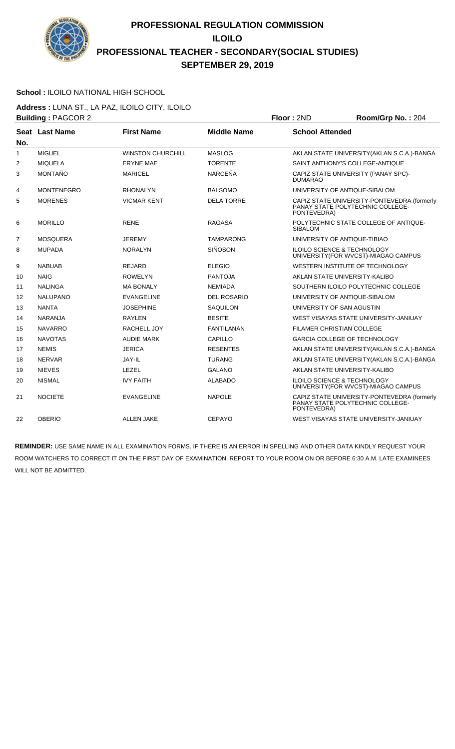

### **School :** ILOILO NATIONAL HIGH SCHOOL

**Address :** LUNA ST., LA PAZ, ILOILO CITY, ILOILO **Building :** PAGCOR 2 **Floor :** 2ND **Room/Grp No. :** 204

|                | <b>Dunung .</b> AOOON 2 |                          |                    | שיוג ויטשו<br>11991179191191.207                                                               |
|----------------|-------------------------|--------------------------|--------------------|------------------------------------------------------------------------------------------------|
| No.            | Seat Last Name          | <b>First Name</b>        | <b>Middle Name</b> | <b>School Attended</b>                                                                         |
| 1              | <b>MIGUEL</b>           | <b>WINSTON CHURCHILL</b> | <b>MASLOG</b>      | AKLAN STATE UNIVERSITY (AKLAN S.C.A.)-BANGA                                                    |
| 2              | <b>MIQUELA</b>          | <b>ERYNE MAE</b>         | <b>TORENTE</b>     | SAINT ANTHONY'S COLLEGE-ANTIQUE                                                                |
| 3              | MONTAÑO                 | <b>MARICEL</b>           | <b>NARCEÑA</b>     | CAPIZ STATE UNIVERSITY (PANAY SPC)-<br><b>DUMARAO</b>                                          |
| 4              | <b>MONTENEGRO</b>       | <b>RHONALYN</b>          | <b>BALSOMO</b>     | UNIVERSITY OF ANTIQUE-SIBALOM                                                                  |
| 5              | <b>MORENES</b>          | <b>VICMAR KENT</b>       | <b>DELA TORRE</b>  | CAPIZ STATE UNIVERSITY-PONTEVEDRA (formerly<br>PANAY STATE POLYTECHNIC COLLEGE-<br>PONTEVEDRA) |
| 6              | <b>MORILLO</b>          | <b>RENE</b>              | <b>RAGASA</b>      | POLYTECHNIC STATE COLLEGE OF ANTIQUE-<br><b>SIBALOM</b>                                        |
| $\overline{7}$ | <b>MOSQUERA</b>         | <b>JEREMY</b>            | <b>TAMPARONG</b>   | UNIVERSITY OF ANTIQUE-TIBIAO                                                                   |
| 8              | <b>MUPADA</b>           | <b>NORALYN</b>           | <b>SIÑOSON</b>     | <b>ILOILO SCIENCE &amp; TECHNOLOGY</b><br>UNIVERSITY (FOR WVCST)-MIAGAO CAMPUS                 |
| 9              | <b>NABUAB</b>           | <b>REJARD</b>            | <b>ELEGIO</b>      | WESTERN INSTITUTE OF TECHNOLOGY                                                                |
| 10             | <b>NAIG</b>             | ROWELYN                  | <b>PANTOJA</b>     | AKLAN STATE UNIVERSITY-KALIBO                                                                  |
| 11             | <b>NALINGA</b>          | <b>MA BONALY</b>         | <b>NEMIADA</b>     | SOUTHERN ILOILO POLYTECHNIC COLLEGE                                                            |
| 12             | <b>NALUPANO</b>         | <b>EVANGELINE</b>        | <b>DEL ROSARIO</b> | UNIVERSITY OF ANTIQUE-SIBALOM                                                                  |
| 13             | <b>NANTA</b>            | <b>JOSEPHINE</b>         | <b>SAQUILON</b>    | UNIVERSITY OF SAN AGUSTIN                                                                      |
| 14             | <b>NARANJA</b>          | <b>RAYLEN</b>            | <b>BESITE</b>      | WEST VISAYAS STATE UNIVERSITY-JANIUAY                                                          |
| 15             | <b>NAVARRO</b>          | RACHELL JOY              | <b>FANTILANAN</b>  | <b>FILAMER CHRISTIAN COLLEGE</b>                                                               |
| 16             | <b>NAVOTAS</b>          | <b>AUDIE MARK</b>        | CAPILLO            | <b>GARCIA COLLEGE OF TECHNOLOGY</b>                                                            |
| 17             | <b>NEMIS</b>            | <b>JERICA</b>            | <b>RESENTES</b>    | AKLAN STATE UNIVERSITY (AKLAN S.C.A.)-BANGA                                                    |
| 18             | <b>NERVAR</b>           | JAY-IL                   | <b>TURANG</b>      | AKLAN STATE UNIVERSITY (AKLAN S.C.A.)-BANGA                                                    |
| 19             | <b>NIEVES</b>           | LEZEL                    | <b>GALANO</b>      | AKLAN STATE UNIVERSITY-KALIBO                                                                  |
| 20             | <b>NISMAL</b>           | <b>IVY FAITH</b>         | <b>ALABADO</b>     | ILOILO SCIENCE & TECHNOLOGY<br>UNIVERSITY(FOR WVCST)-MIAGAO CAMPUS                             |
| 21             | <b>NOCIETE</b>          | <b>EVANGELINE</b>        | <b>NAPOLE</b>      | CAPIZ STATE UNIVERSITY-PONTEVEDRA (formerly<br>PANAY STATE POLYTECHNIC COLLEGE-<br>PONTEVEDRA) |
| 22             | <b>OBERIO</b>           | <b>ALLEN JAKE</b>        | <b>CEPAYO</b>      | WEST VISAYAS STATE UNIVERSITY-JANIUAY                                                          |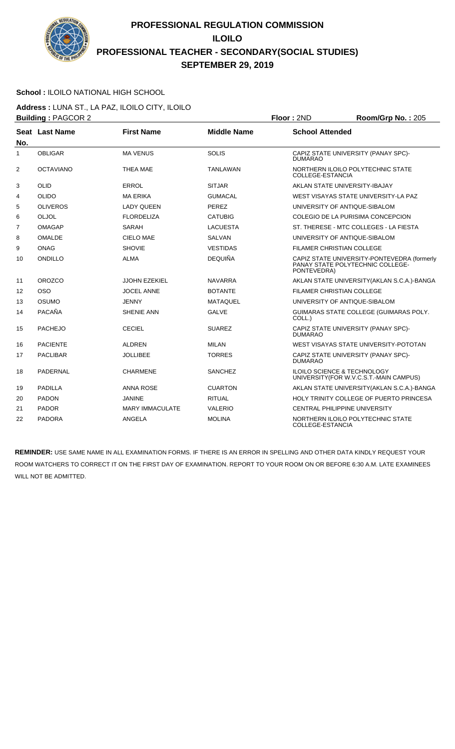

### **School :** ILOILO NATIONAL HIGH SCHOOL

**Address :** LUNA ST., LA PAZ, ILOILO CITY, ILOILO **Building :** PAGCOR 2 **Floor :** 2ND **Room/Grp No. :** 205

| No.            | Seat Last Name   | <b>First Name</b>      | <b>Middle Name</b> | <b>School Attended</b>                                                                         |
|----------------|------------------|------------------------|--------------------|------------------------------------------------------------------------------------------------|
| 1              | <b>OBLIGAR</b>   | <b>MA VENUS</b>        | <b>SOLIS</b>       | CAPIZ STATE UNIVERSITY (PANAY SPC)-<br><b>DUMARAO</b>                                          |
| 2              | <b>OCTAVIANO</b> | <b>THEA MAE</b>        | TANLAWAN           | NORTHERN ILOILO POLYTECHNIC STATE<br>COLLEGE-ESTANCIA                                          |
| 3              | <b>OLID</b>      | <b>ERROL</b>           | <b>SITJAR</b>      | AKLAN STATE UNIVERSITY-IBAJAY                                                                  |
| 4              | <b>OLIDO</b>     | <b>MA ERIKA</b>        | <b>GUMACAL</b>     | WEST VISAYAS STATE UNIVERSITY-LA PAZ                                                           |
| 5              | <b>OLIVEROS</b>  | <b>LADY QUEEN</b>      | <b>PEREZ</b>       | UNIVERSITY OF ANTIQUE-SIBALOM                                                                  |
| 6              | OLJOL            | <b>FLORDELIZA</b>      | <b>CATUBIG</b>     | COLEGIO DE LA PURISIMA CONCEPCION                                                              |
| $\overline{7}$ | <b>OMAGAP</b>    | SARAH                  | <b>LACUESTA</b>    | ST. THERESE - MTC COLLEGES - LA FIESTA                                                         |
| 8              | <b>OMALDE</b>    | CIELO MAE              | <b>SALVAN</b>      | UNIVERSITY OF ANTIQUE-SIBALOM                                                                  |
| 9              | <b>ONAG</b>      | <b>SHOVIE</b>          | <b>VESTIDAS</b>    | <b>FILAMER CHRISTIAN COLLEGE</b>                                                               |
| 10             | ONDILLO          | <b>ALMA</b>            | <b>DEQUIÑA</b>     | CAPIZ STATE UNIVERSITY-PONTEVEDRA (formerly<br>PANAY STATE POLYTECHNIC COLLEGE-<br>PONTEVEDRA) |
| 11             | <b>OROZCO</b>    | <b>JJOHN EZEKIEL</b>   | <b>NAVARRA</b>     | AKLAN STATE UNIVERSITY (AKLAN S.C.A.)-BANGA                                                    |
| 12             | <b>OSO</b>       | <b>JOCEL ANNE</b>      | <b>BOTANTE</b>     | FILAMER CHRISTIAN COLLEGE                                                                      |
| 13             | <b>OSUMO</b>     | <b>JENNY</b>           | <b>MATAQUEL</b>    | UNIVERSITY OF ANTIQUE-SIBALOM                                                                  |
| 14             | PACAÑA           | <b>SHENIE ANN</b>      | <b>GALVE</b>       | GUIMARAS STATE COLLEGE (GUIMARAS POLY.<br>COLL.)                                               |
| 15             | <b>PACHEJO</b>   | <b>CECIEL</b>          | <b>SUAREZ</b>      | CAPIZ STATE UNIVERSITY (PANAY SPC)-<br><b>DUMARAO</b>                                          |
| 16             | <b>PACIENTE</b>  | <b>ALDREN</b>          | <b>MILAN</b>       | WEST VISAYAS STATE UNIVERSITY-POTOTAN                                                          |
| 17             | <b>PACLIBAR</b>  | <b>JOLLIBEE</b>        | <b>TORRES</b>      | CAPIZ STATE UNIVERSITY (PANAY SPC)-<br><b>DUMARAO</b>                                          |
| 18             | PADERNAL         | <b>CHARMENE</b>        | <b>SANCHEZ</b>     | <b>ILOILO SCIENCE &amp; TECHNOLOGY</b><br>UNIVERSITY (FOR W.V.C.S.T.-MAIN CAMPUS)              |
| 19             | <b>PADILLA</b>   | <b>ANNA ROSE</b>       | <b>CUARTON</b>     | AKLAN STATE UNIVERSITY (AKLAN S.C.A.)-BANGA                                                    |
| 20             | <b>PADON</b>     | <b>JANINE</b>          | <b>RITUAL</b>      | HOLY TRINITY COLLEGE OF PUERTO PRINCESA                                                        |
| 21             | <b>PADOR</b>     | <b>MARY IMMACULATE</b> | <b>VALERIO</b>     | CENTRAL PHILIPPINE UNIVERSITY                                                                  |
| 22             | <b>PADORA</b>    | <b>ANGELA</b>          | <b>MOLINA</b>      | NORTHERN ILOILO POLYTECHNIC STATE<br>COLLEGE-ESTANCIA                                          |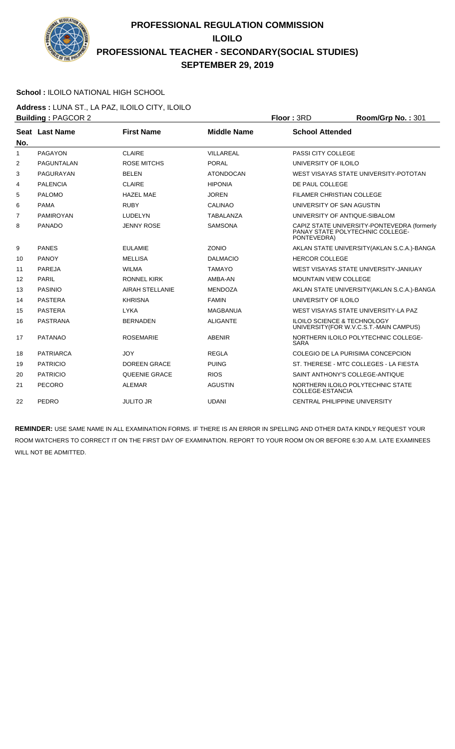

### **School :** ILOILO NATIONAL HIGH SCHOOL

**Address :** LUNA ST., LA PAZ, ILOILO CITY, ILOILO **Building :** PAGCOR 2 **Floor :** 3RD **Room/Grp No. :** 301

|                | <u>.</u> <del>.</del> |                        |                    |                                                                                                |
|----------------|-----------------------|------------------------|--------------------|------------------------------------------------------------------------------------------------|
| No.            | Seat Last Name        | <b>First Name</b>      | <b>Middle Name</b> | <b>School Attended</b>                                                                         |
| $\mathbf{1}$   | PAGAYON               | <b>CLAIRE</b>          | VILLAREAL          | PASSI CITY COLLEGE                                                                             |
| 2              | PAGUNTALAN            | <b>ROSE MITCHS</b>     | <b>PORAL</b>       | UNIVERSITY OF ILOILO                                                                           |
| 3              | PAGURAYAN             | <b>BELEN</b>           | <b>ATONDOCAN</b>   | WEST VISAYAS STATE UNIVERSITY-POTOTAN                                                          |
| 4              | <b>PALENCIA</b>       | <b>CLAIRE</b>          | <b>HIPONIA</b>     | DE PAUL COLLEGE                                                                                |
| 5              | <b>PALOMO</b>         | <b>HAZEL MAE</b>       | <b>JOREN</b>       | <b>FILAMER CHRISTIAN COLLEGE</b>                                                               |
| 6              | <b>PAMA</b>           | <b>RUBY</b>            | <b>CALINAO</b>     | UNIVERSITY OF SAN AGUSTIN                                                                      |
| $\overline{7}$ | <b>PAMIROYAN</b>      | <b>LUDELYN</b>         | <b>TABALANZA</b>   | UNIVERSITY OF ANTIQUE-SIBALOM                                                                  |
| 8              | <b>PANADO</b>         | <b>JENNY ROSE</b>      | <b>SAMSONA</b>     | CAPIZ STATE UNIVERSITY-PONTEVEDRA (formerly<br>PANAY STATE POLYTECHNIC COLLEGE-<br>PONTEVEDRA) |
| 9              | <b>PANES</b>          | <b>EULAMIE</b>         | ZONIO              | AKLAN STATE UNIVERSITY (AKLAN S.C.A.)-BANGA                                                    |
| 10             | <b>PANOY</b>          | <b>MELLISA</b>         | <b>DALMACIO</b>    | <b>HERCOR COLLEGE</b>                                                                          |
| 11             | <b>PAREJA</b>         | <b>WILMA</b>           | <b>TAMAYO</b>      | WEST VISAYAS STATE UNIVERSITY-JANIUAY                                                          |
| 12             | <b>PARIL</b>          | <b>RONNEL KIRK</b>     | AMBA-AN            | MOUNTAIN VIEW COLLEGE                                                                          |
| 13             | <b>PASINIO</b>        | <b>AIRAH STELLANIE</b> | <b>MENDOZA</b>     | AKLAN STATE UNIVERSITY (AKLAN S.C.A.)-BANGA                                                    |
| 14             | <b>PASTERA</b>        | <b>KHRISNA</b>         | <b>FAMIN</b>       | UNIVERSITY OF ILOILO                                                                           |
| 15             | <b>PASTERA</b>        | <b>LYKA</b>            | <b>MAGBANUA</b>    | WEST VISAYAS STATE UNIVERSITY-LA PAZ                                                           |
| 16             | <b>PASTRANA</b>       | <b>BERNADEN</b>        | <b>ALIGANTE</b>    | <b>ILOILO SCIENCE &amp; TECHNOLOGY</b><br>UNIVERSITY (FOR W.V.C.S.T.-MAIN CAMPUS)              |
| 17             | <b>PATANAO</b>        | <b>ROSEMARIE</b>       | <b>ABENIR</b>      | NORTHERN ILOILO POLYTECHNIC COLLEGE-<br><b>SARA</b>                                            |
| 18             | <b>PATRIARCA</b>      | <b>JOY</b>             | <b>REGLA</b>       | COLEGIO DE LA PURISIMA CONCEPCION                                                              |
| 19             | <b>PATRICIO</b>       | <b>DOREEN GRACE</b>    | <b>PUING</b>       | ST. THERESE - MTC COLLEGES - LA FIESTA                                                         |
| 20             | <b>PATRICIO</b>       | <b>QUEENIE GRACE</b>   | <b>RIOS</b>        | SAINT ANTHONY'S COLLEGE-ANTIQUE                                                                |
| 21             | PECORO                | <b>ALEMAR</b>          | <b>AGUSTIN</b>     | NORTHERN ILOILO POLYTECHNIC STATE<br><b>COLLEGE-ESTANCIA</b>                                   |
| 22             | PEDRO                 | <b>JULITO JR</b>       | <b>UDANI</b>       | <b>CENTRAL PHILIPPINE UNIVERSITY</b>                                                           |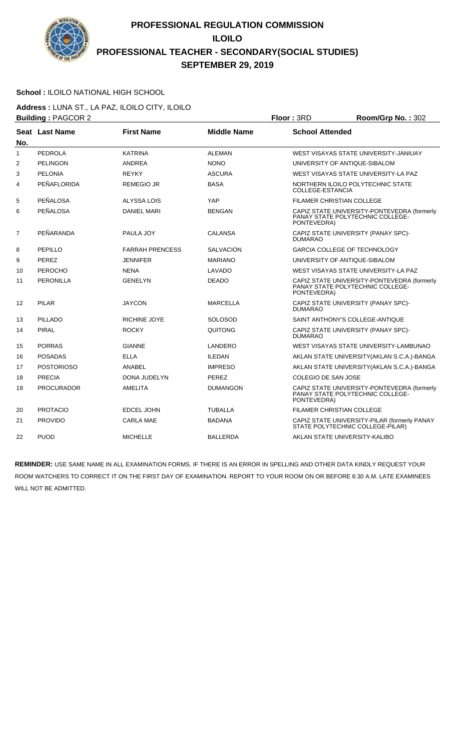

### **School :** ILOILO NATIONAL HIGH SCHOOL

**Address :** LUNA ST., LA PAZ, ILOILO CITY, ILOILO **Building :** PAGCOR 2 **Floor :** 3RD **Room/Grp No. :** 302

|     | <b>DUNUILY LETTOUUL 4</b> |                        |                    | טוע. וטשו                                                                                      |
|-----|---------------------------|------------------------|--------------------|------------------------------------------------------------------------------------------------|
| No. | Seat Last Name            | <b>First Name</b>      | <b>Middle Name</b> | <b>School Attended</b>                                                                         |
| 1   | PEDROLA                   | <b>KATRINA</b>         | <b>ALEMAN</b>      | WEST VISAYAS STATE UNIVERSITY-JANIUAY                                                          |
| 2   | <b>PELINGON</b>           | <b>ANDREA</b>          | <b>NONO</b>        | UNIVERSITY OF ANTIQUE-SIBALOM                                                                  |
| 3   | PELONIA                   | <b>REYKY</b>           | <b>ASCURA</b>      | WEST VISAYAS STATE UNIVERSITY-LA PAZ                                                           |
| 4   | PEÑAFLORIDA               | <b>REMEGIO JR</b>      | <b>BASA</b>        | NORTHERN ILOILO POLYTECHNIC STATE<br>COLLEGE-ESTANCIA                                          |
| 5   | PEÑALOSA                  | ALYSSA LOIS            | YAP                | <b>FILAMER CHRISTIAN COLLEGE</b>                                                               |
| 6   | PEÑALOSA                  | <b>DANIEL MARI</b>     | <b>BENGAN</b>      | CAPIZ STATE UNIVERSITY-PONTEVEDRA (formerly<br>PANAY STATE POLYTECHNIC COLLEGE-<br>PONTEVEDRA) |
| 7   | PEÑARANDA                 | PAULA JOY              | <b>CALANSA</b>     | CAPIZ STATE UNIVERSITY (PANAY SPC)-<br><b>DUMARAO</b>                                          |
| 8   | PEPILLO                   | <b>FARRAH PRENCESS</b> | <b>SALVACION</b>   | <b>GARCIA COLLEGE OF TECHNOLOGY</b>                                                            |
| 9   | <b>PEREZ</b>              | <b>JENNIFER</b>        | <b>MARIANO</b>     | UNIVERSITY OF ANTIQUE-SIBALOM                                                                  |
| 10  | <b>PEROCHO</b>            | <b>NENA</b>            | LAVADO             | WEST VISAYAS STATE UNIVERSITY-LA PAZ                                                           |
| 11  | <b>PERONILLA</b>          | <b>GENELYN</b>         | <b>DEADO</b>       | CAPIZ STATE UNIVERSITY-PONTEVEDRA (formerly<br>PANAY STATE POLYTECHNIC COLLEGE-<br>PONTEVEDRA) |
| 12  | <b>PILAR</b>              | <b>JAYCON</b>          | <b>MARCELLA</b>    | CAPIZ STATE UNIVERSITY (PANAY SPC)-<br><b>DUMARAO</b>                                          |
| 13  | PILLADO                   | <b>RICHINE JOYE</b>    | <b>SOLOSOD</b>     | SAINT ANTHONY'S COLLEGE-ANTIQUE                                                                |
| 14  | <b>PIRAL</b>              | <b>ROCKY</b>           | QUITONG            | CAPIZ STATE UNIVERSITY (PANAY SPC)-<br><b>DUMARAO</b>                                          |
| 15  | <b>PORRAS</b>             | <b>GIANNE</b>          | LANDERO            | WEST VISAYAS STATE UNIVERSITY-LAMBUNAO                                                         |
| 16  | <b>POSADAS</b>            | <b>ELLA</b>            | <b>ILEDAN</b>      | AKLAN STATE UNIVERSITY (AKLAN S.C.A.)-BANGA                                                    |
| 17  | <b>POSTORIOSO</b>         | <b>ANABEL</b>          | <b>IMPRESO</b>     | AKLAN STATE UNIVERSITY (AKLAN S.C.A.)-BANGA                                                    |
| 18  | <b>PRECIA</b>             | DONA JUDELYN           | <b>PEREZ</b>       | COLEGIO DE SAN JOSE                                                                            |
| 19  | <b>PROCURADOR</b>         | <b>AMELITA</b>         | <b>DUMANGON</b>    | CAPIZ STATE UNIVERSITY-PONTEVEDRA (formerly<br>PANAY STATE POLYTECHNIC COLLEGE-<br>PONTEVEDRA) |
| 20  | <b>PROTACIO</b>           | <b>EDCEL JOHN</b>      | <b>TUBALLA</b>     | <b>FILAMER CHRISTIAN COLLEGE</b>                                                               |
| 21  | <b>PROVIDO</b>            | <b>CARLA MAE</b>       | <b>BADANA</b>      | CAPIZ STATE UNIVERSITY-PILAR (formerly PANAY<br>STATE POLYTECHNIC COLLEGE-PILAR)               |
| 22  | <b>PUOD</b>               | <b>MICHELLE</b>        | <b>BALLERDA</b>    | AKLAN STATE UNIVERSITY-KALIBO                                                                  |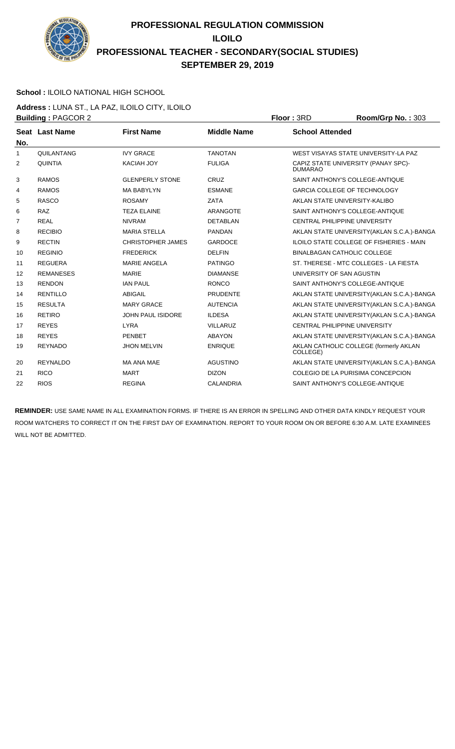

### **School :** ILOILO NATIONAL HIGH SCHOOL

**Address :** LUNA ST., LA PAZ, ILOILO CITY, ILOILO **Building :** PAGCOR 2 **Floor :** 3RD **Room/Grp No. :** 303

|              | Pananiy <i>.</i> 1000112 |                          |                    | 11001111011011011000                                  |
|--------------|--------------------------|--------------------------|--------------------|-------------------------------------------------------|
| No.          | Seat Last Name           | <b>First Name</b>        | <b>Middle Name</b> | <b>School Attended</b>                                |
| $\mathbf{1}$ | QUILANTANG               | <b>IVY GRACE</b>         | <b>TANOTAN</b>     | WEST VISAYAS STATE UNIVERSITY-LA PAZ                  |
| 2            | <b>QUINTIA</b>           | <b>KACIAH JOY</b>        | <b>FULIGA</b>      | CAPIZ STATE UNIVERSITY (PANAY SPC)-<br><b>DUMARAO</b> |
| 3            | <b>RAMOS</b>             | <b>GLENPERLY STONE</b>   | CRUZ               | SAINT ANTHONY'S COLLEGE-ANTIQUE                       |
| 4            | <b>RAMOS</b>             | <b>MA BABYLYN</b>        | <b>ESMANE</b>      | <b>GARCIA COLLEGE OF TECHNOLOGY</b>                   |
| 5            | <b>RASCO</b>             | <b>ROSAMY</b>            | <b>ZATA</b>        | AKLAN STATE UNIVERSITY-KALIBO                         |
| 6            | <b>RAZ</b>               | <b>TEZA ELAINE</b>       | ARANGOTE           | SAINT ANTHONY'S COLLEGE-ANTIQUE                       |
| 7            | <b>REAL</b>              | <b>NIVRAM</b>            | <b>DETABLAN</b>    | <b>CENTRAL PHILIPPINE UNIVERSITY</b>                  |
| 8            | <b>RECIBIO</b>           | <b>MARIA STELLA</b>      | <b>PANDAN</b>      | AKLAN STATE UNIVERSITY (AKLAN S.C.A.)-BANGA           |
| 9            | <b>RECTIN</b>            | <b>CHRISTOPHER JAMES</b> | <b>GARDOCE</b>     | ILOILO STATE COLLEGE OF FISHERIES - MAIN              |
| 10           | <b>REGINIO</b>           | <b>FREDERICK</b>         | <b>DELFIN</b>      | BINALBAGAN CATHOLIC COLLEGE                           |
| 11           | <b>REGUERA</b>           | <b>MARIE ANGELA</b>      | <b>PATINGO</b>     | ST. THERESE - MTC COLLEGES - LA FIESTA                |
| 12           | <b>REMANESES</b>         | <b>MARIE</b>             | <b>DIAMANSE</b>    | UNIVERSITY OF SAN AGUSTIN                             |
| 13           | <b>RENDON</b>            | <b>IAN PAUL</b>          | <b>RONCO</b>       | SAINT ANTHONY'S COLLEGE-ANTIQUE                       |
| 14           | <b>RENTILLO</b>          | <b>ABIGAIL</b>           | <b>PRUDENTE</b>    | AKLAN STATE UNIVERSITY (AKLAN S.C.A.)-BANGA           |
| 15           | <b>RESULTA</b>           | <b>MARY GRACE</b>        | <b>AUTENCIA</b>    | AKLAN STATE UNIVERSITY (AKLAN S.C.A.)-BANGA           |
| 16           | <b>RETIRO</b>            | <b>JOHN PAUL ISIDORE</b> | <b>ILDESA</b>      | AKLAN STATE UNIVERSITY (AKLAN S.C.A.)-BANGA           |
| 17           | <b>REYES</b>             | <b>LYRA</b>              | <b>VILLARUZ</b>    | CENTRAL PHILIPPINE UNIVERSITY                         |
| 18           | <b>REYES</b>             | <b>PENBET</b>            | <b>ABAYON</b>      | AKLAN STATE UNIVERSITY (AKLAN S.C.A.)-BANGA           |
| 19           | <b>REYNADO</b>           | <b>JHON MELVIN</b>       | <b>ENRIQUE</b>     | AKLAN CATHOLIC COLLEGE (formerly AKLAN<br>COLLEGE)    |
| 20           | <b>REYNALDO</b>          | MA ANA MAE               | <b>AGUSTINO</b>    | AKLAN STATE UNIVERSITY (AKLAN S.C.A.)-BANGA           |
| 21           | <b>RICO</b>              | <b>MART</b>              | <b>DIZON</b>       | COLEGIO DE LA PURISIMA CONCEPCION                     |
| 22           | <b>RIOS</b>              | <b>REGINA</b>            | <b>CALANDRIA</b>   | SAINT ANTHONY'S COLLEGE-ANTIQUE                       |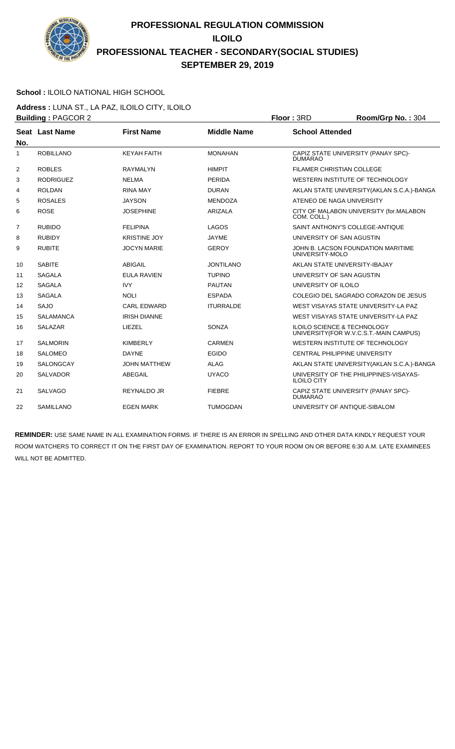

#### **School :** ILOILO NATIONAL HIGH SCHOOL

**Address :** LUNA ST., LA PAZ, ILOILO CITY, ILOILO **Building :** PAGCOR 2 **Floor :** 3RD **Room/Grp No. :** 304

|                | <b>Dunung</b> . 17000112 |                     |                    | טויי וטשו<br>110011101111011001                                                  |
|----------------|--------------------------|---------------------|--------------------|----------------------------------------------------------------------------------|
| No.            | Seat Last Name           | <b>First Name</b>   | <b>Middle Name</b> | <b>School Attended</b>                                                           |
| 1              | <b>ROBILLANO</b>         | <b>KEYAH FAITH</b>  | <b>MONAHAN</b>     | CAPIZ STATE UNIVERSITY (PANAY SPC)-<br><b>DUMARAO</b>                            |
| $\overline{2}$ | <b>ROBLES</b>            | <b>RAYMALYN</b>     | <b>HIMPIT</b>      | <b>FILAMER CHRISTIAN COLLEGE</b>                                                 |
| 3              | <b>RODRIGUEZ</b>         | <b>NELMA</b>        | <b>PERIDA</b>      | WESTERN INSTITUTE OF TECHNOLOGY                                                  |
| 4              | <b>ROLDAN</b>            | <b>RINA MAY</b>     | <b>DURAN</b>       | AKLAN STATE UNIVERSITY (AKLAN S.C.A.)-BANGA                                      |
| 5              | <b>ROSALES</b>           | <b>JAYSON</b>       | <b>MENDOZA</b>     | ATENEO DE NAGA UNIVERSITY                                                        |
| 6              | <b>ROSE</b>              | <b>JOSEPHINE</b>    | <b>ARIZALA</b>     | CITY OF MALABON UNIVERSITY (for.MALABON<br>COM. COLL.)                           |
| $\overline{7}$ | <b>RUBIDO</b>            | <b>FELIPINA</b>     | LAGOS              | SAINT ANTHONY'S COLLEGE-ANTIQUE                                                  |
| 8              | <b>RUBIDY</b>            | <b>KRISTINE JOY</b> | <b>JAYME</b>       | UNIVERSITY OF SAN AGUSTIN                                                        |
| 9              | <b>RUBITE</b>            | <b>JOCYN MARIE</b>  | <b>GEROY</b>       | JOHN B. LACSON FOUNDATION MARITIME<br>UNIVERSITY-MOLO                            |
| 10             | <b>SABITE</b>            | <b>ABIGAIL</b>      | <b>JONTILANO</b>   | AKLAN STATE UNIVERSITY-IBAJAY                                                    |
| 11             | <b>SAGALA</b>            | <b>EULA RAVIEN</b>  | <b>TUPINO</b>      | UNIVERSITY OF SAN AGUSTIN                                                        |
| 12             | <b>SAGALA</b>            | <b>IVY</b>          | <b>PAUTAN</b>      | UNIVERSITY OF ILOILO                                                             |
| 13             | <b>SAGALA</b>            | <b>NOLI</b>         | <b>ESPADA</b>      | COLEGIO DEL SAGRADO CORAZON DE JESUS                                             |
| 14             | <b>SAJO</b>              | <b>CARL EDWARD</b>  | <b>ITURRALDE</b>   | WEST VISAYAS STATE UNIVERSITY-LA PAZ                                             |
| 15             | <b>SALAMANCA</b>         | <b>IRISH DIANNE</b> |                    | WEST VISAYAS STATE UNIVERSITY-LA PAZ                                             |
| 16             | <b>SALAZAR</b>           | LIEZEL              | <b>SONZA</b>       | <b>ILOILO SCIENCE &amp; TECHNOLOGY</b><br>UNIVERSITY(FOR W.V.C.S.T.-MAIN CAMPUS) |
| 17             | <b>SALMORIN</b>          | <b>KIMBERLY</b>     | <b>CARMEN</b>      | WESTERN INSTITUTE OF TECHNOLOGY                                                  |
| 18             | <b>SALOMEO</b>           | <b>DAYNE</b>        | EGIDO              | CENTRAL PHILIPPINE UNIVERSITY                                                    |
| 19             | <b>SALONGCAY</b>         | <b>JOHN MATTHEW</b> | <b>ALAG</b>        | AKLAN STATE UNIVERSITY (AKLAN S.C.A.)-BANGA                                      |
| 20             | <b>SALVADOR</b>          | ABEGAIL             | <b>UYACO</b>       | UNIVERSITY OF THE PHILIPPINES-VISAYAS-<br><b>ILOILO CITY</b>                     |
| 21             | <b>SALVAGO</b>           | <b>REYNALDO JR</b>  | <b>FIEBRE</b>      | CAPIZ STATE UNIVERSITY (PANAY SPC)-<br><b>DUMARAO</b>                            |
| 22             | SAMILLANO                | <b>EGEN MARK</b>    | <b>TUMOGDAN</b>    | UNIVERSITY OF ANTIQUE-SIBALOM                                                    |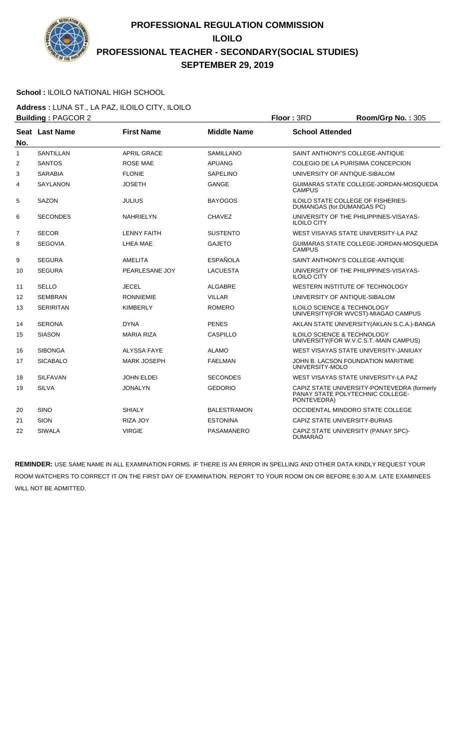

### **School :** ILOILO NATIONAL HIGH SCHOOL

**Address :** LUNA ST., LA PAZ, ILOILO CITY, ILOILO **Building :** PAGCOR 2 **Floor :** 3RD **Room/Grp No. :** 305

|                | Dunung . 1 AOOON 2 |                    |                    | שוט וייטוו<br>$1001110$ $110110$                                                               |
|----------------|--------------------|--------------------|--------------------|------------------------------------------------------------------------------------------------|
| No.            | Seat Last Name     | <b>First Name</b>  | <b>Middle Name</b> | <b>School Attended</b>                                                                         |
| 1              | <b>SANTILLAN</b>   | <b>APRIL GRACE</b> | <b>SAMILLANO</b>   | SAINT ANTHONY'S COLLEGE-ANTIQUE                                                                |
| 2              | <b>SANTOS</b>      | <b>ROSE MAE</b>    | <b>APUANG</b>      | COLEGIO DE LA PURISIMA CONCEPCION                                                              |
| 3              | <b>SARABIA</b>     | <b>FLONIE</b>      | <b>SAPELINO</b>    | UNIVERSITY OF ANTIQUE-SIBALOM                                                                  |
| 4              | <b>SAYLANON</b>    | <b>JOSETH</b>      | <b>GANGE</b>       | GUIMARAS STATE COLLEGE-JORDAN-MOSQUEDA<br><b>CAMPUS</b>                                        |
| 5              | <b>SAZON</b>       | <b>JULIUS</b>      | <b>BAYOGOS</b>     | <b>ILOILO STATE COLLEGE OF FISHERIES-</b><br>DUMANGAS (for.DUMANGAS PC)                        |
| 6              | <b>SECONDES</b>    | <b>NAHRIELYN</b>   | <b>CHAVEZ</b>      | UNIVERSITY OF THE PHILIPPINES-VISAYAS-<br><b>ILOILO CITY</b>                                   |
| $\overline{7}$ | <b>SECOR</b>       | <b>LENNY FAITH</b> | <b>SUSTENTO</b>    | WEST VISAYAS STATE UNIVERSITY-LA PAZ                                                           |
| 8              | <b>SEGOVIA</b>     | LHEA MAE           | <b>GAJETO</b>      | GUIMARAS STATE COLLEGE-JORDAN-MOSQUEDA<br><b>CAMPUS</b>                                        |
| 9              | <b>SEGURA</b>      | AMELITA            | <b>ESPAÑOLA</b>    | SAINT ANTHONY'S COLLEGE-ANTIQUE                                                                |
| 10             | <b>SEGURA</b>      | PEARLESANE JOY     | LACUESTA           | UNIVERSITY OF THE PHILIPPINES-VISAYAS-<br><b>ILOILO CITY</b>                                   |
| 11             | <b>SELLO</b>       | <b>JECEL</b>       | <b>ALGABRE</b>     | WESTERN INSTITUTE OF TECHNOLOGY                                                                |
| 12             | <b>SEMBRAN</b>     | <b>RONNIEMIE</b>   | <b>VILLAR</b>      | UNIVERSITY OF ANTIQUE-SIBALOM                                                                  |
| 13             | <b>SERIRITAN</b>   | <b>KIMBERLY</b>    | <b>ROMERO</b>      | <b>ILOILO SCIENCE &amp; TECHNOLOGY</b><br>UNIVERSITY (FOR WVCST)-MIAGAO CAMPUS                 |
| 14             | <b>SERONA</b>      | <b>DYNA</b>        | <b>PENES</b>       | AKLAN STATE UNIVERSITY (AKLAN S.C.A.)-BANGA                                                    |
| 15             | <b>SIASON</b>      | <b>MARIA RIZA</b>  | CASPILLO           | <b>ILOILO SCIENCE &amp; TECHNOLOGY</b><br>UNIVERSITY (FOR W.V.C.S.T.-MAIN CAMPUS)              |
| 16             | <b>SIBONGA</b>     | <b>ALYSSA FAYE</b> | <b>ALAMO</b>       | WEST VISAYAS STATE UNIVERSITY-JANIUAY                                                          |
| 17             | <b>SICABALO</b>    | <b>MARK JOSEPH</b> | <b>FAELMAN</b>     | JOHN B. LACSON FOUNDATION MARITIME<br>UNIVERSITY-MOLO                                          |
| 18             | <b>SILFAVAN</b>    | <b>JOHN ELDEI</b>  | <b>SECONDES</b>    | WEST VISAYAS STATE UNIVERSITY-LA PAZ                                                           |
| 19             | <b>SILVA</b>       | <b>JONALYN</b>     | <b>GEDORIO</b>     | CAPIZ STATE UNIVERSITY-PONTEVEDRA (formerly<br>PANAY STATE POLYTECHNIC COLLEGE-<br>PONTEVEDRA) |
| 20             | <b>SINO</b>        | <b>SHIALY</b>      | <b>BALESTRAMON</b> | OCCIDENTAL MINDORO STATE COLLEGE                                                               |
| 21             | <b>SION</b>        | RIZA JOY           | <b>ESTONINA</b>    | CAPIZ STATE UNIVERSITY-BURIAS                                                                  |
| 22             | <b>SIWALA</b>      | <b>VIRGIE</b>      | PASAMANERO         | CAPIZ STATE UNIVERSITY (PANAY SPC)-<br><b>DUMARAO</b>                                          |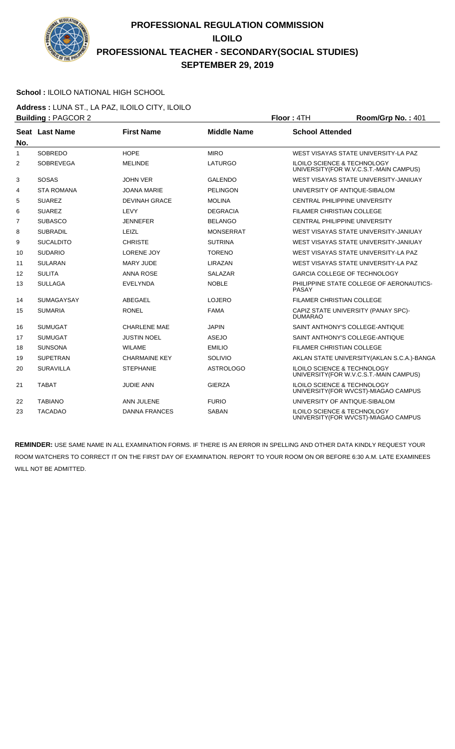

### **School :** ILOILO NATIONAL HIGH SCHOOL

**Address :** LUNA ST., LA PAZ, ILOILO CITY, ILOILO **Building : PAGCOR 2 Floor : 4TH Room/Grp No. : 401** 

| No.            | Seat Last Name    | <b>First Name</b>    | <b>Middle Name</b> | <b>School Attended</b>                                                            |
|----------------|-------------------|----------------------|--------------------|-----------------------------------------------------------------------------------|
| 1              | <b>SOBREDO</b>    | <b>HOPE</b>          | <b>MIRO</b>        | WEST VISAYAS STATE UNIVERSITY-LA PAZ                                              |
| 2              | <b>SOBREVEGA</b>  | <b>MELINDE</b>       | LATURGO            | <b>ILOILO SCIENCE &amp; TECHNOLOGY</b><br>UNIVERSITY (FOR W.V.C.S.T.-MAIN CAMPUS) |
| 3              | <b>SOSAS</b>      | <b>JOHN VER</b>      | <b>GALENDO</b>     | WEST VISAYAS STATE UNIVERSITY-JANIUAY                                             |
| 4              | <b>STA ROMANA</b> | <b>JOANA MARIE</b>   | <b>PELINGON</b>    | UNIVERSITY OF ANTIQUE-SIBALOM                                                     |
| 5              | <b>SUAREZ</b>     | <b>DEVINAH GRACE</b> | <b>MOLINA</b>      | <b>CENTRAL PHILIPPINE UNIVERSITY</b>                                              |
| 6              | <b>SUAREZ</b>     | LEVY                 | <b>DEGRACIA</b>    | FILAMER CHRISTIAN COLLEGE                                                         |
| $\overline{7}$ | <b>SUBASCO</b>    | <b>JENNEFER</b>      | <b>BELANGO</b>     | <b>CENTRAL PHILIPPINE UNIVERSITY</b>                                              |
| 8              | <b>SUBRADIL</b>   | LEIZL                | <b>MONSERRAT</b>   | WEST VISAYAS STATE UNIVERSITY-JANIUAY                                             |
| 9              | <b>SUCALDITO</b>  | <b>CHRISTE</b>       | <b>SUTRINA</b>     | WEST VISAYAS STATE UNIVERSITY-JANIUAY                                             |
| 10             | <b>SUDARIO</b>    | <b>LORENE JOY</b>    | <b>TORENO</b>      | WEST VISAYAS STATE UNIVERSITY-LA PAZ                                              |
| 11             | <b>SULARAN</b>    | <b>MARY JUDE</b>     | LIRAZAN            | WEST VISAYAS STATE UNIVERSITY-LA PAZ                                              |
| 12             | <b>SULITA</b>     | <b>ANNA ROSE</b>     | <b>SALAZAR</b>     | <b>GARCIA COLLEGE OF TECHNOLOGY</b>                                               |
| 13             | <b>SULLAGA</b>    | <b>EVELYNDA</b>      | <b>NOBLE</b>       | PHILIPPINE STATE COLLEGE OF AERONAUTICS-<br>PASAY                                 |
| 14             | <b>SUMAGAYSAY</b> | ABEGAEL              | LOJERO             | <b>FILAMER CHRISTIAN COLLEGE</b>                                                  |
| 15             | <b>SUMARIA</b>    | <b>RONEL</b>         | <b>FAMA</b>        | CAPIZ STATE UNIVERSITY (PANAY SPC)-<br><b>DUMARAO</b>                             |
| 16             | <b>SUMUGAT</b>    | <b>CHARLENE MAE</b>  | <b>JAPIN</b>       | SAINT ANTHONY'S COLLEGE-ANTIQUE                                                   |
| 17             | <b>SUMUGAT</b>    | <b>JUSTIN NOEL</b>   | <b>ASEJO</b>       | SAINT ANTHONY'S COLLEGE-ANTIQUE                                                   |
| 18             | <b>SUNSONA</b>    | <b>WILAME</b>        | <b>EMILIO</b>      | <b>FILAMER CHRISTIAN COLLEGE</b>                                                  |
| 19             | <b>SUPETRAN</b>   | <b>CHARMAINE KEY</b> | SOLIVIO            | AKLAN STATE UNIVERSITY (AKLAN S.C.A.)-BANGA                                       |
| 20             | <b>SURAVILLA</b>  | <b>STEPHANIE</b>     | <b>ASTROLOGO</b>   | <b>ILOILO SCIENCE &amp; TECHNOLOGY</b><br>UNIVERSITY (FOR W.V.C.S.T.-MAIN CAMPUS) |
| 21             | <b>TABAT</b>      | <b>JUDIE ANN</b>     | <b>GIERZA</b>      | <b>ILOILO SCIENCE &amp; TECHNOLOGY</b><br>UNIVERSITY (FOR WVCST)-MIAGAO CAMPUS    |
| 22             | <b>TABIANO</b>    | ANN JULENE           | <b>FURIO</b>       | UNIVERSITY OF ANTIQUE-SIBALOM                                                     |
| 23             | <b>TACADAO</b>    | <b>DANNA FRANCES</b> | <b>SABAN</b>       | <b>ILOILO SCIENCE &amp; TECHNOLOGY</b><br>UNIVERSITY (FOR WVCST)-MIAGAO CAMPUS    |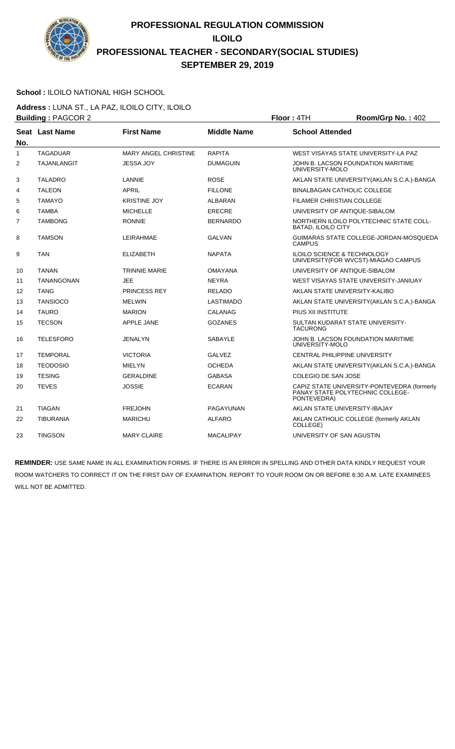

### **School :** ILOILO NATIONAL HIGH SCHOOL

**Address :** LUNA ST., LA PAZ, ILOILO CITY, ILOILO **Building : PAGCOR 2 Floor : 4TH Room/Grp No. : 402** 

|                | <u>.</u> <del>.</del> |                             |                    |                                                                                                |
|----------------|-----------------------|-----------------------------|--------------------|------------------------------------------------------------------------------------------------|
| No.            | Seat Last Name        | <b>First Name</b>           | <b>Middle Name</b> | <b>School Attended</b>                                                                         |
| 1              | <b>TAGADUAR</b>       | <b>MARY ANGEL CHRISTINE</b> | <b>RAPITA</b>      | WEST VISAYAS STATE UNIVERSITY-LA PAZ                                                           |
| $\overline{2}$ | <b>TAJANLANGIT</b>    | <b>JESSA JOY</b>            | <b>DUMAGUIN</b>    | JOHN B. LACSON FOUNDATION MARITIME<br>UNIVERSITY-MOLO                                          |
| 3              | <b>TALADRO</b>        | LANNIE                      | <b>ROSE</b>        | AKLAN STATE UNIVERSITY (AKLAN S.C.A.)-BANGA                                                    |
| 4              | <b>TALEON</b>         | <b>APRIL</b>                | <b>FILLONE</b>     | <b>BINALBAGAN CATHOLIC COLLEGE</b>                                                             |
| 5              | <b>TAMAYO</b>         | <b>KRISTINE JOY</b>         | <b>ALBARAN</b>     | FILAMER CHRISTIAN COLLEGE                                                                      |
| 6              | <b>TAMBA</b>          | <b>MICHELLE</b>             | <b>ERECRE</b>      | UNIVERSITY OF ANTIQUE-SIBALOM                                                                  |
| $\overline{7}$ | <b>TAMBONG</b>        | <b>RONNIE</b>               | <b>BERNARDO</b>    | NORTHERN ILOILO POLYTECHNIC STATE COLL-<br><b>BATAD, ILOILO CITY</b>                           |
| 8              | <b>TAMSON</b>         | LEIRAHMAE                   | <b>GALVAN</b>      | GUIMARAS STATE COLLEGE-JORDAN-MOSQUEDA<br><b>CAMPUS</b>                                        |
| 9              | <b>TAN</b>            | <b>ELIZABETH</b>            | <b>NAPATA</b>      | ILOILO SCIENCE & TECHNOLOGY<br>UNIVERSITY (FOR WVCST)-MIAGAO CAMPUS                            |
| 10             | <b>TANAN</b>          | <b>TRINNIE MARIE</b>        | OMAYANA            | UNIVERSITY OF ANTIQUE-SIBALOM                                                                  |
| 11             | <b>TANANGONAN</b>     | <b>JEE</b>                  | <b>NEYRA</b>       | WEST VISAYAS STATE UNIVERSITY-JANIUAY                                                          |
| 12             | <b>TANG</b>           | <b>PRINCESS REY</b>         | <b>RELADO</b>      | AKLAN STATE UNIVERSITY-KALIBO                                                                  |
| 13             | <b>TANSIOCO</b>       | <b>MELWIN</b>               | <b>LASTIMADO</b>   | AKLAN STATE UNIVERSITY (AKLAN S.C.A.)-BANGA                                                    |
| 14             | <b>TAURO</b>          | <b>MARION</b>               | CALANAG            | PIUS XII INSTITUTE                                                                             |
| 15             | <b>TECSON</b>         | APPLE JANE                  | <b>GOZANES</b>     | SULTAN KUDARAT STATE UNIVERSITY-<br><b>TACURONG</b>                                            |
| 16             | <b>TELESFORO</b>      | JENALYN                     | <b>SABAYLE</b>     | JOHN B. LACSON FOUNDATION MARITIME<br>UNIVERSITY-MOLO                                          |
| 17             | <b>TEMPORAL</b>       | <b>VICTORIA</b>             | <b>GALVEZ</b>      | <b>CENTRAL PHILIPPINE UNIVERSITY</b>                                                           |
| 18             | <b>TEODOSIO</b>       | <b>MIELYN</b>               | <b>OCHEDA</b>      | AKLAN STATE UNIVERSITY (AKLAN S.C.A.)-BANGA                                                    |
| 19             | <b>TESING</b>         | <b>GERALDINE</b>            | <b>GABASA</b>      | COLEGIO DE SAN JOSE                                                                            |
| 20             | <b>TEVES</b>          | <b>JOSSIE</b>               | <b>ECARAN</b>      | CAPIZ STATE UNIVERSITY-PONTEVEDRA (formerly<br>PANAY STATE POLYTECHNIC COLLEGE-<br>PONTEVEDRA) |
| 21             | <b>TIAGAN</b>         | <b>FREJOHN</b>              | PAGAYUNAN          | AKLAN STATE UNIVERSITY-IBAJAY                                                                  |
| 22             | <b>TIBURANIA</b>      | <b>MARICHU</b>              | <b>ALFARO</b>      | AKLAN CATHOLIC COLLEGE (formerly AKLAN<br>COLLEGE)                                             |
| 23             | <b>TINGSON</b>        | <b>MARY CLAIRE</b>          | <b>MACALIPAY</b>   | UNIVERSITY OF SAN AGUSTIN                                                                      |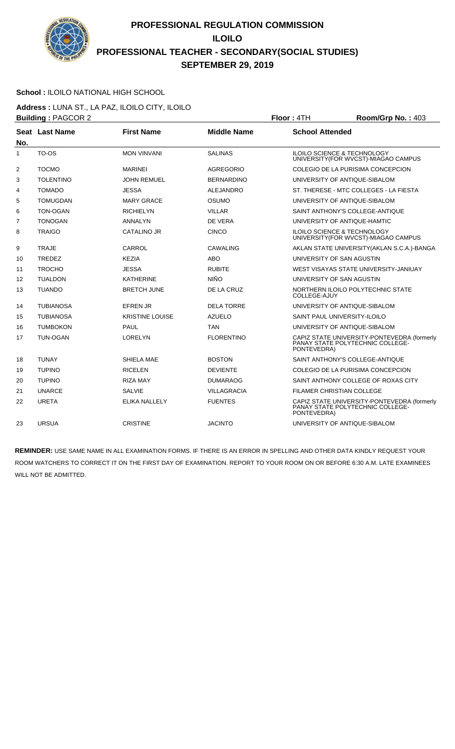

### **School :** ILOILO NATIONAL HIGH SCHOOL

**Address :** LUNA ST., LA PAZ, ILOILO CITY, ILOILO **Building : PAGCOR 2 Floor : 4TH Room/Grp No. : 403** 

|     |                  |                        |                    | .                                                                                              |
|-----|------------------|------------------------|--------------------|------------------------------------------------------------------------------------------------|
| No. | Seat Last Name   | <b>First Name</b>      | <b>Middle Name</b> | <b>School Attended</b>                                                                         |
| 1   | TO-OS            | <b>MON VINVANI</b>     | <b>SALINAS</b>     | <b>ILOILO SCIENCE &amp; TECHNOLOGY</b><br>UNIVERSITY (FOR WVCST)-MIAGAO CAMPUS                 |
| 2   | <b>TOCMO</b>     | <b>MARINEI</b>         | <b>AGREGORIO</b>   | COLEGIO DE LA PURISIMA CONCEPCION                                                              |
| 3   | <b>TOLENTINO</b> | <b>JOHN REMUEL</b>     | <b>BERNARDINO</b>  | UNIVERSITY OF ANTIQUE-SIBALOM                                                                  |
| 4   | <b>TOMADO</b>    | <b>JESSA</b>           | <b>ALEJANDRO</b>   | ST. THERESE - MTC COLLEGES - LA FIESTA                                                         |
| 5   | TOMUGDAN         | <b>MARY GRACE</b>      | OSUMO              | UNIVERSITY OF ANTIQUE-SIBALOM                                                                  |
| 6   | <b>TON-OGAN</b>  | <b>RICHIELYN</b>       | <b>VILLAR</b>      | SAINT ANTHONY'S COLLEGE-ANTIQUE                                                                |
| 7   | <b>TONOGAN</b>   | <b>ANNALYN</b>         | DE VERA            | UNIVERSITY OF ANTIQUE-HAMTIC                                                                   |
| 8   | <b>TRAIGO</b>    | <b>CATALINO JR</b>     | <b>CINCO</b>       | <b>ILOILO SCIENCE &amp; TECHNOLOGY</b><br>UNIVERSITY (FOR WVCST)-MIAGAO CAMPUS                 |
| 9   | <b>TRAJE</b>     | CARROL                 | CAWALING           | AKLAN STATE UNIVERSITY (AKLAN S.C.A.)-BANGA                                                    |
| 10  | <b>TREDEZ</b>    | KEZIA                  | ABO                | UNIVERSITY OF SAN AGUSTIN                                                                      |
| 11  | <b>TROCHO</b>    | <b>JESSA</b>           | <b>RUBITE</b>      | WEST VISAYAS STATE UNIVERSITY-JANIUAY                                                          |
| 12  | <b>TUALDON</b>   | <b>KATHERINE</b>       | <b>NIÑO</b>        | UNIVERSITY OF SAN AGUSTIN                                                                      |
| 13  | <b>TUANDO</b>    | <b>BRETCH JUNE</b>     | DE LA CRUZ         | NORTHERN ILOILO POLYTECHNIC STATE<br>COLLEGE-AJUY                                              |
| 14  | <b>TUBIANOSA</b> | <b>EFREN JR</b>        | <b>DELA TORRE</b>  | UNIVERSITY OF ANTIQUE-SIBALOM                                                                  |
| 15  | <b>TUBIANOSA</b> | <b>KRISTINE LOUISE</b> | <b>AZUELO</b>      | SAINT PAUL UNIVERSITY-ILOILO                                                                   |
| 16  | <b>TUMBOKON</b>  | <b>PAUL</b>            | TAN                | UNIVERSITY OF ANTIQUE-SIBALOM                                                                  |
| 17  | <b>TUN-OGAN</b>  | <b>LORELYN</b>         | <b>FLORENTINO</b>  | CAPIZ STATE UNIVERSITY-PONTEVEDRA (formerly<br>PANAY STATE POLYTECHNIC COLLEGE-<br>PONTEVEDRA) |
| 18  | <b>TUNAY</b>     | SHIELA MAE             | <b>BOSTON</b>      | SAINT ANTHONY'S COLLEGE-ANTIQUE                                                                |
| 19  | <b>TUPINO</b>    | <b>RICELEN</b>         | <b>DEVIENTE</b>    | COLEGIO DE LA PURISIMA CONCEPCION                                                              |
| 20  | <b>TUPINO</b>    | <b>RIZA MAY</b>        | <b>DUMARAOG</b>    | SAINT ANTHONY COLLEGE OF ROXAS CITY                                                            |
| 21  | <b>UNARCE</b>    | <b>SALVIE</b>          | <b>VILLAGRACIA</b> | FILAMER CHRISTIAN COLLEGE                                                                      |
| 22  | <b>URETA</b>     | <b>ELIKA NALLELY</b>   | <b>FUENTES</b>     | CAPIZ STATE UNIVERSITY-PONTEVEDRA (formerly<br>PANAY STATE POLYTECHNIC COLLEGE-<br>PONTEVEDRA) |
| 23  | <b>URSUA</b>     | <b>CRISTINE</b>        | <b>JACINTO</b>     | UNIVERSITY OF ANTIQUE-SIBALOM                                                                  |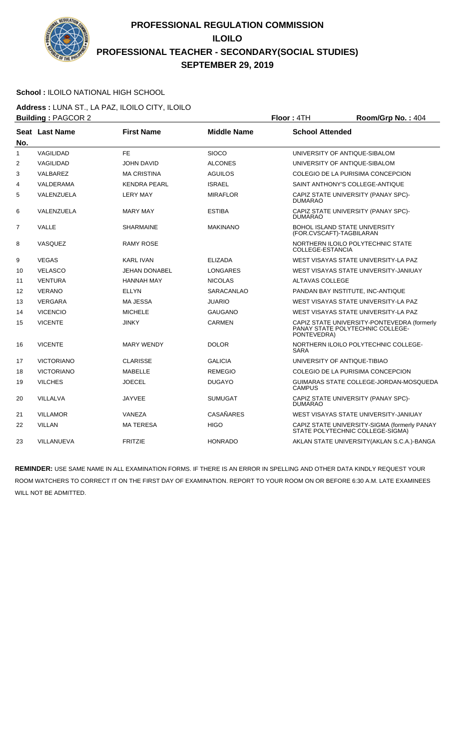

### **School :** ILOILO NATIONAL HIGH SCHOOL

**Address :** LUNA ST., LA PAZ, ILOILO CITY, ILOILO **Building : PAGCOR 2 Floor : 4TH Room/Grp No. : 404** 

|                | <b>Panging .</b> 000 2 |                      |                    | . <del>.</del>                                                                                 |
|----------------|------------------------|----------------------|--------------------|------------------------------------------------------------------------------------------------|
| No.            | Seat Last Name         | <b>First Name</b>    | <b>Middle Name</b> | <b>School Attended</b>                                                                         |
| 1              | VAGILIDAD              | FE                   | <b>SIOCO</b>       | UNIVERSITY OF ANTIQUE-SIBALOM                                                                  |
| $\overline{2}$ | VAGILIDAD              | <b>JOHN DAVID</b>    | <b>ALCONES</b>     | UNIVERSITY OF ANTIQUE-SIBALOM                                                                  |
| 3              | VALBAREZ               | <b>MA CRISTINA</b>   | <b>AGUILOS</b>     | COLEGIO DE LA PURISIMA CONCEPCION                                                              |
| 4              | VALDERAMA              | <b>KENDRA PEARL</b>  | <b>ISRAEL</b>      | SAINT ANTHONY'S COLLEGE-ANTIQUE                                                                |
| 5              | VALENZUELA             | <b>LERY MAY</b>      | <b>MIRAFLOR</b>    | CAPIZ STATE UNIVERSITY (PANAY SPC)-<br><b>DUMARAO</b>                                          |
| 6              | VALENZUELA             | <b>MARY MAY</b>      | <b>ESTIBA</b>      | CAPIZ STATE UNIVERSITY (PANAY SPC)-<br><b>DUMARAO</b>                                          |
| $\overline{7}$ | VALLE                  | <b>SHARMAINE</b>     | <b>MAKINANO</b>    | <b>BOHOL ISLAND STATE UNIVERSITY</b><br>(FOR.CVSCAFT)-TAGBILARAN                               |
| 8              | VASQUEZ                | <b>RAMY ROSE</b>     |                    | NORTHERN ILOILO POLYTECHNIC STATE<br>COLLEGE-ESTANCIA                                          |
| 9              | <b>VEGAS</b>           | <b>KARL IVAN</b>     | <b>ELIZADA</b>     | WEST VISAYAS STATE UNIVERSITY-LA PAZ                                                           |
| 10             | <b>VELASCO</b>         | <b>JEHAN DONABEL</b> | <b>LONGARES</b>    | WEST VISAYAS STATE UNIVERSITY-JANIUAY                                                          |
| 11             | <b>VENTURA</b>         | <b>HANNAH MAY</b>    | <b>NICOLAS</b>     | ALTAVAS COLLEGE                                                                                |
| 12             | <b>VERANO</b>          | <b>ELLYN</b>         | <b>SARACANLAO</b>  | PANDAN BAY INSTITUTE, INC-ANTIQUE                                                              |
| 13             | <b>VERGARA</b>         | <b>MA JESSA</b>      | <b>JUARIO</b>      | WEST VISAYAS STATE UNIVERSITY-LA PAZ                                                           |
| 14             | <b>VICENCIO</b>        | <b>MICHELE</b>       | <b>GAUGANO</b>     | WEST VISAYAS STATE UNIVERSITY-LA PAZ                                                           |
| 15             | <b>VICENTE</b>         | <b>JINKY</b>         | <b>CARMEN</b>      | CAPIZ STATE UNIVERSITY-PONTEVEDRA (formerly<br>PANAY STATE POLYTECHNIC COLLEGE-<br>PONTEVEDRA) |
| 16             | <b>VICENTE</b>         | <b>MARY WENDY</b>    | <b>DOLOR</b>       | NORTHERN ILOILO POLYTECHNIC COLLEGE-<br><b>SARA</b>                                            |
| 17             | <b>VICTORIANO</b>      | <b>CLARISSE</b>      | <b>GALICIA</b>     | UNIVERSITY OF ANTIQUE-TIBIAO                                                                   |
| 18             | <b>VICTORIANO</b>      | <b>MABELLE</b>       | <b>REMEGIO</b>     | COLEGIO DE LA PURISIMA CONCEPCION                                                              |
| 19             | <b>VILCHES</b>         | <b>JOECEL</b>        | <b>DUGAYO</b>      | GUIMARAS STATE COLLEGE-JORDAN-MOSQUEDA<br><b>CAMPUS</b>                                        |
| 20             | <b>VILLALVA</b>        | <b>JAYVEE</b>        | <b>SUMUGAT</b>     | CAPIZ STATE UNIVERSITY (PANAY SPC)-<br><b>DUMARAO</b>                                          |
| 21             | <b>VILLAMOR</b>        | VANEZA               | <b>CASAÑARES</b>   | WEST VISAYAS STATE UNIVERSITY-JANIUAY                                                          |
| 22             | <b>VILLAN</b>          | <b>MATERESA</b>      | <b>HIGO</b>        | CAPIZ STATE UNIVERSITY-SIGMA (formerly PANAY<br>STATE POLYTECHNIC COLLEGE-SIGMA)               |
| 23             | VILLANUEVA             | <b>FRITZIE</b>       | <b>HONRADO</b>     | AKLAN STATE UNIVERSITY (AKLAN S.C.A.)-BANGA                                                    |